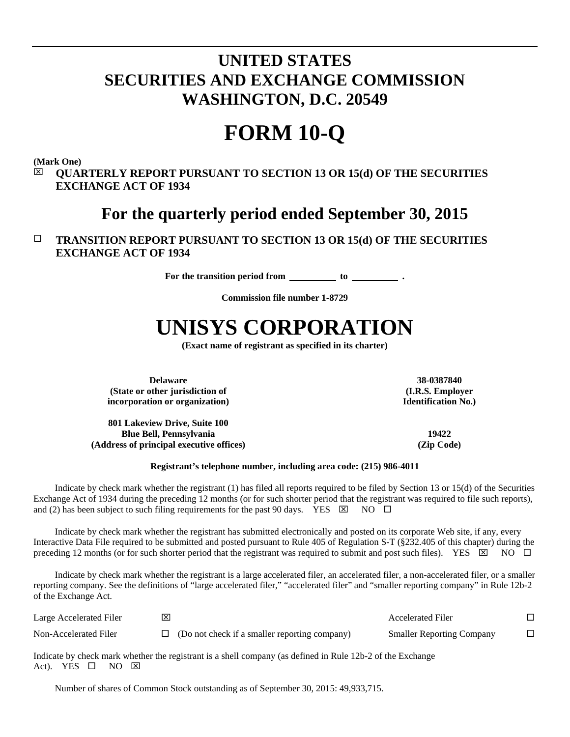# **UNITED STATES SECURITIES AND EXCHANGE COMMISSION WASHINGTON, D.C. 20549**

# **FORM 10-Q**

**(Mark One)**

 **QUARTERLY REPORT PURSUANT TO SECTION 13 OR 15(d) OF THE SECURITIES EXCHANGE ACT OF 1934**

# **For the quarterly period ended September 30, 2015**

 **TRANSITION REPORT PURSUANT TO SECTION 13 OR 15(d) OF THE SECURITIES EXCHANGE ACT OF 1934**

**For the transition period from to .**

**Commission file number 1-8729**

# **UNISYS CORPORATION**

**(Exact name of registrant as specified in its charter)**

**Delaware 38-0387840 (State or other jurisdiction of incorporation or organization)**

**(I.R.S. Employer Identification No.)**

**801 Lakeview Drive, Suite 100 Blue Bell, Pennsylvania (Address of principal executive offices)**

**19422 (Zip Code)**

#### **Registrant's telephone number, including area code: (215) 986-4011**

Indicate by check mark whether the registrant (1) has filed all reports required to be filed by Section 13 or 15(d) of the Securities Exchange Act of 1934 during the preceding 12 months (or for such shorter period that the registrant was required to file such reports), and (2) has been subject to such filing requirements for the past 90 days. YES  $\boxtimes$  NO  $\Box$ 

Indicate by check mark whether the registrant has submitted electronically and posted on its corporate Web site, if any, every Interactive Data File required to be submitted and posted pursuant to Rule 405 of Regulation S-T (§232.405 of this chapter) during the preceding 12 months (or for such shorter period that the registrant was required to submit and post such files). YES  $\boxtimes$  NO  $\Box$ 

Indicate by check mark whether the registrant is a large accelerated filer, an accelerated filer, a non-accelerated filer, or a smaller reporting company. See the definitions of "large accelerated filer," "accelerated filer" and "smaller reporting company" in Rule 12b-2 of the Exchange Act.

| Large Accelerated Filer | ⊠ |                                                      | <b>Accelerated Filer</b>         |  |
|-------------------------|---|------------------------------------------------------|----------------------------------|--|
| Non-Accelerated Filer   |   | $\Box$ (Do not check if a smaller reporting company) | <b>Smaller Reporting Company</b> |  |
|                         |   |                                                      |                                  |  |

Indicate by check mark whether the registrant is a shell company (as defined in Rule 12b-2 of the Exchange Act). YES  $\square$  NO  $\square$ 

Number of shares of Common Stock outstanding as of September 30, 2015: 49,933,715.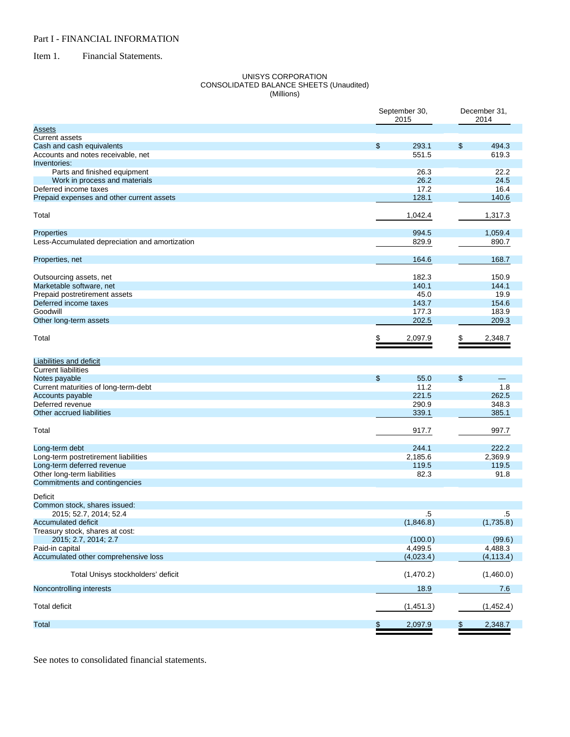#### Part I - FINANCIAL INFORMATION

#### Item 1. Financial Statements.

#### UNISYS CORPORATION CONSOLIDATED BALANCE SHEETS (Unaudited) (Millions)

| <b>Assets</b><br><b>Current assets</b><br>$\frac{1}{2}$<br>293.1<br>\$<br>Cash and cash equivalents<br>494.3<br>619.3<br>Accounts and notes receivable, net<br>551.5<br>Inventories:<br>26.3<br>22.2<br>Parts and finished equipment<br>26.2<br>24.5<br>Work in process and materials<br>Deferred income taxes<br>17.2<br>16.4<br>128.1<br>140.6<br>Prepaid expenses and other current assets<br>Total<br>1,042.4<br>1,317.3<br>994.5<br>1,059.4<br>Properties<br>829.9<br>Less-Accumulated depreciation and amortization<br>890.7<br>168.7<br>Properties, net<br>164.6<br>182.3<br>150.9<br>Outsourcing assets, net<br>Marketable software, net<br>140.1<br>144.1<br>45.0<br>19.9<br>Prepaid postretirement assets<br>Deferred income taxes<br>143.7<br>154.6<br>183.9<br>Goodwill<br>177.3<br>202.5<br>209.3<br>Other long-term assets<br>2,348.7<br>Total<br>2,097.9<br><b>Liabilities and deficit</b><br><b>Current liabilities</b><br>\$<br>\$<br>Notes payable<br>55.0<br>Current maturities of long-term-debt<br>11.2<br>1.8<br>Accounts payable<br>221.5<br>262.5<br>290.9<br>348.3<br>Deferred revenue<br>Other accrued liabilities<br>339.1<br>385.1<br>Total<br>917.7<br>997.7<br>244.1<br>222.2<br>Long-term debt<br>2,369.9<br>Long-term postretirement liabilities<br>2,185.6<br>Long-term deferred revenue<br>119.5<br>119.5<br>Other long-term liabilities<br>82.3<br>91.8<br>Commitments and contingencies<br>Deficit<br>Common stock, shares issued:<br>.5<br>2015; 52.7, 2014; 52.4<br>.5<br>(1,846.8)<br>(1,735.8)<br>Accumulated deficit<br>Treasury stock, shares at cost:<br>2015; 2.7, 2014; 2.7<br>(100.0)<br>(99.6)<br>4,499.5<br>Paid-in capital<br>4,488.3<br>Accumulated other comprehensive loss<br>(4, 113.4)<br>(4,023.4)<br>Total Unisys stockholders' deficit<br>(1,470.2)<br>(1,460.0)<br>Noncontrolling interests<br>18.9<br>7.6<br><b>Total deficit</b><br>(1,451.3)<br>(1,452.4)<br><b>Total</b><br>2,097.9<br>2,348.7<br>\$<br>\$ |  | September 30,<br>2015 | December 31,<br>2014 |  |  |
|--------------------------------------------------------------------------------------------------------------------------------------------------------------------------------------------------------------------------------------------------------------------------------------------------------------------------------------------------------------------------------------------------------------------------------------------------------------------------------------------------------------------------------------------------------------------------------------------------------------------------------------------------------------------------------------------------------------------------------------------------------------------------------------------------------------------------------------------------------------------------------------------------------------------------------------------------------------------------------------------------------------------------------------------------------------------------------------------------------------------------------------------------------------------------------------------------------------------------------------------------------------------------------------------------------------------------------------------------------------------------------------------------------------------------------------------------------------------------------------------------------------------------------------------------------------------------------------------------------------------------------------------------------------------------------------------------------------------------------------------------------------------------------------------------------------------------------------------------------------------------------------------------------------------------------------------------------------------------|--|-----------------------|----------------------|--|--|
|                                                                                                                                                                                                                                                                                                                                                                                                                                                                                                                                                                                                                                                                                                                                                                                                                                                                                                                                                                                                                                                                                                                                                                                                                                                                                                                                                                                                                                                                                                                                                                                                                                                                                                                                                                                                                                                                                                                                                                          |  |                       |                      |  |  |
|                                                                                                                                                                                                                                                                                                                                                                                                                                                                                                                                                                                                                                                                                                                                                                                                                                                                                                                                                                                                                                                                                                                                                                                                                                                                                                                                                                                                                                                                                                                                                                                                                                                                                                                                                                                                                                                                                                                                                                          |  |                       |                      |  |  |
|                                                                                                                                                                                                                                                                                                                                                                                                                                                                                                                                                                                                                                                                                                                                                                                                                                                                                                                                                                                                                                                                                                                                                                                                                                                                                                                                                                                                                                                                                                                                                                                                                                                                                                                                                                                                                                                                                                                                                                          |  |                       |                      |  |  |
|                                                                                                                                                                                                                                                                                                                                                                                                                                                                                                                                                                                                                                                                                                                                                                                                                                                                                                                                                                                                                                                                                                                                                                                                                                                                                                                                                                                                                                                                                                                                                                                                                                                                                                                                                                                                                                                                                                                                                                          |  |                       |                      |  |  |
|                                                                                                                                                                                                                                                                                                                                                                                                                                                                                                                                                                                                                                                                                                                                                                                                                                                                                                                                                                                                                                                                                                                                                                                                                                                                                                                                                                                                                                                                                                                                                                                                                                                                                                                                                                                                                                                                                                                                                                          |  |                       |                      |  |  |
|                                                                                                                                                                                                                                                                                                                                                                                                                                                                                                                                                                                                                                                                                                                                                                                                                                                                                                                                                                                                                                                                                                                                                                                                                                                                                                                                                                                                                                                                                                                                                                                                                                                                                                                                                                                                                                                                                                                                                                          |  |                       |                      |  |  |
|                                                                                                                                                                                                                                                                                                                                                                                                                                                                                                                                                                                                                                                                                                                                                                                                                                                                                                                                                                                                                                                                                                                                                                                                                                                                                                                                                                                                                                                                                                                                                                                                                                                                                                                                                                                                                                                                                                                                                                          |  |                       |                      |  |  |
|                                                                                                                                                                                                                                                                                                                                                                                                                                                                                                                                                                                                                                                                                                                                                                                                                                                                                                                                                                                                                                                                                                                                                                                                                                                                                                                                                                                                                                                                                                                                                                                                                                                                                                                                                                                                                                                                                                                                                                          |  |                       |                      |  |  |
|                                                                                                                                                                                                                                                                                                                                                                                                                                                                                                                                                                                                                                                                                                                                                                                                                                                                                                                                                                                                                                                                                                                                                                                                                                                                                                                                                                                                                                                                                                                                                                                                                                                                                                                                                                                                                                                                                                                                                                          |  |                       |                      |  |  |
|                                                                                                                                                                                                                                                                                                                                                                                                                                                                                                                                                                                                                                                                                                                                                                                                                                                                                                                                                                                                                                                                                                                                                                                                                                                                                                                                                                                                                                                                                                                                                                                                                                                                                                                                                                                                                                                                                                                                                                          |  |                       |                      |  |  |
|                                                                                                                                                                                                                                                                                                                                                                                                                                                                                                                                                                                                                                                                                                                                                                                                                                                                                                                                                                                                                                                                                                                                                                                                                                                                                                                                                                                                                                                                                                                                                                                                                                                                                                                                                                                                                                                                                                                                                                          |  |                       |                      |  |  |
|                                                                                                                                                                                                                                                                                                                                                                                                                                                                                                                                                                                                                                                                                                                                                                                                                                                                                                                                                                                                                                                                                                                                                                                                                                                                                                                                                                                                                                                                                                                                                                                                                                                                                                                                                                                                                                                                                                                                                                          |  |                       |                      |  |  |
|                                                                                                                                                                                                                                                                                                                                                                                                                                                                                                                                                                                                                                                                                                                                                                                                                                                                                                                                                                                                                                                                                                                                                                                                                                                                                                                                                                                                                                                                                                                                                                                                                                                                                                                                                                                                                                                                                                                                                                          |  |                       |                      |  |  |
|                                                                                                                                                                                                                                                                                                                                                                                                                                                                                                                                                                                                                                                                                                                                                                                                                                                                                                                                                                                                                                                                                                                                                                                                                                                                                                                                                                                                                                                                                                                                                                                                                                                                                                                                                                                                                                                                                                                                                                          |  |                       |                      |  |  |
|                                                                                                                                                                                                                                                                                                                                                                                                                                                                                                                                                                                                                                                                                                                                                                                                                                                                                                                                                                                                                                                                                                                                                                                                                                                                                                                                                                                                                                                                                                                                                                                                                                                                                                                                                                                                                                                                                                                                                                          |  |                       |                      |  |  |
|                                                                                                                                                                                                                                                                                                                                                                                                                                                                                                                                                                                                                                                                                                                                                                                                                                                                                                                                                                                                                                                                                                                                                                                                                                                                                                                                                                                                                                                                                                                                                                                                                                                                                                                                                                                                                                                                                                                                                                          |  |                       |                      |  |  |
|                                                                                                                                                                                                                                                                                                                                                                                                                                                                                                                                                                                                                                                                                                                                                                                                                                                                                                                                                                                                                                                                                                                                                                                                                                                                                                                                                                                                                                                                                                                                                                                                                                                                                                                                                                                                                                                                                                                                                                          |  |                       |                      |  |  |
|                                                                                                                                                                                                                                                                                                                                                                                                                                                                                                                                                                                                                                                                                                                                                                                                                                                                                                                                                                                                                                                                                                                                                                                                                                                                                                                                                                                                                                                                                                                                                                                                                                                                                                                                                                                                                                                                                                                                                                          |  |                       |                      |  |  |
|                                                                                                                                                                                                                                                                                                                                                                                                                                                                                                                                                                                                                                                                                                                                                                                                                                                                                                                                                                                                                                                                                                                                                                                                                                                                                                                                                                                                                                                                                                                                                                                                                                                                                                                                                                                                                                                                                                                                                                          |  |                       |                      |  |  |
|                                                                                                                                                                                                                                                                                                                                                                                                                                                                                                                                                                                                                                                                                                                                                                                                                                                                                                                                                                                                                                                                                                                                                                                                                                                                                                                                                                                                                                                                                                                                                                                                                                                                                                                                                                                                                                                                                                                                                                          |  |                       |                      |  |  |
|                                                                                                                                                                                                                                                                                                                                                                                                                                                                                                                                                                                                                                                                                                                                                                                                                                                                                                                                                                                                                                                                                                                                                                                                                                                                                                                                                                                                                                                                                                                                                                                                                                                                                                                                                                                                                                                                                                                                                                          |  |                       |                      |  |  |
|                                                                                                                                                                                                                                                                                                                                                                                                                                                                                                                                                                                                                                                                                                                                                                                                                                                                                                                                                                                                                                                                                                                                                                                                                                                                                                                                                                                                                                                                                                                                                                                                                                                                                                                                                                                                                                                                                                                                                                          |  |                       |                      |  |  |
|                                                                                                                                                                                                                                                                                                                                                                                                                                                                                                                                                                                                                                                                                                                                                                                                                                                                                                                                                                                                                                                                                                                                                                                                                                                                                                                                                                                                                                                                                                                                                                                                                                                                                                                                                                                                                                                                                                                                                                          |  |                       |                      |  |  |
|                                                                                                                                                                                                                                                                                                                                                                                                                                                                                                                                                                                                                                                                                                                                                                                                                                                                                                                                                                                                                                                                                                                                                                                                                                                                                                                                                                                                                                                                                                                                                                                                                                                                                                                                                                                                                                                                                                                                                                          |  |                       |                      |  |  |
|                                                                                                                                                                                                                                                                                                                                                                                                                                                                                                                                                                                                                                                                                                                                                                                                                                                                                                                                                                                                                                                                                                                                                                                                                                                                                                                                                                                                                                                                                                                                                                                                                                                                                                                                                                                                                                                                                                                                                                          |  |                       |                      |  |  |
|                                                                                                                                                                                                                                                                                                                                                                                                                                                                                                                                                                                                                                                                                                                                                                                                                                                                                                                                                                                                                                                                                                                                                                                                                                                                                                                                                                                                                                                                                                                                                                                                                                                                                                                                                                                                                                                                                                                                                                          |  |                       |                      |  |  |
|                                                                                                                                                                                                                                                                                                                                                                                                                                                                                                                                                                                                                                                                                                                                                                                                                                                                                                                                                                                                                                                                                                                                                                                                                                                                                                                                                                                                                                                                                                                                                                                                                                                                                                                                                                                                                                                                                                                                                                          |  |                       |                      |  |  |
|                                                                                                                                                                                                                                                                                                                                                                                                                                                                                                                                                                                                                                                                                                                                                                                                                                                                                                                                                                                                                                                                                                                                                                                                                                                                                                                                                                                                                                                                                                                                                                                                                                                                                                                                                                                                                                                                                                                                                                          |  |                       |                      |  |  |
|                                                                                                                                                                                                                                                                                                                                                                                                                                                                                                                                                                                                                                                                                                                                                                                                                                                                                                                                                                                                                                                                                                                                                                                                                                                                                                                                                                                                                                                                                                                                                                                                                                                                                                                                                                                                                                                                                                                                                                          |  |                       |                      |  |  |
|                                                                                                                                                                                                                                                                                                                                                                                                                                                                                                                                                                                                                                                                                                                                                                                                                                                                                                                                                                                                                                                                                                                                                                                                                                                                                                                                                                                                                                                                                                                                                                                                                                                                                                                                                                                                                                                                                                                                                                          |  |                       |                      |  |  |
|                                                                                                                                                                                                                                                                                                                                                                                                                                                                                                                                                                                                                                                                                                                                                                                                                                                                                                                                                                                                                                                                                                                                                                                                                                                                                                                                                                                                                                                                                                                                                                                                                                                                                                                                                                                                                                                                                                                                                                          |  |                       |                      |  |  |
|                                                                                                                                                                                                                                                                                                                                                                                                                                                                                                                                                                                                                                                                                                                                                                                                                                                                                                                                                                                                                                                                                                                                                                                                                                                                                                                                                                                                                                                                                                                                                                                                                                                                                                                                                                                                                                                                                                                                                                          |  |                       |                      |  |  |
|                                                                                                                                                                                                                                                                                                                                                                                                                                                                                                                                                                                                                                                                                                                                                                                                                                                                                                                                                                                                                                                                                                                                                                                                                                                                                                                                                                                                                                                                                                                                                                                                                                                                                                                                                                                                                                                                                                                                                                          |  |                       |                      |  |  |
|                                                                                                                                                                                                                                                                                                                                                                                                                                                                                                                                                                                                                                                                                                                                                                                                                                                                                                                                                                                                                                                                                                                                                                                                                                                                                                                                                                                                                                                                                                                                                                                                                                                                                                                                                                                                                                                                                                                                                                          |  |                       |                      |  |  |
|                                                                                                                                                                                                                                                                                                                                                                                                                                                                                                                                                                                                                                                                                                                                                                                                                                                                                                                                                                                                                                                                                                                                                                                                                                                                                                                                                                                                                                                                                                                                                                                                                                                                                                                                                                                                                                                                                                                                                                          |  |                       |                      |  |  |
|                                                                                                                                                                                                                                                                                                                                                                                                                                                                                                                                                                                                                                                                                                                                                                                                                                                                                                                                                                                                                                                                                                                                                                                                                                                                                                                                                                                                                                                                                                                                                                                                                                                                                                                                                                                                                                                                                                                                                                          |  |                       |                      |  |  |
|                                                                                                                                                                                                                                                                                                                                                                                                                                                                                                                                                                                                                                                                                                                                                                                                                                                                                                                                                                                                                                                                                                                                                                                                                                                                                                                                                                                                                                                                                                                                                                                                                                                                                                                                                                                                                                                                                                                                                                          |  |                       |                      |  |  |
|                                                                                                                                                                                                                                                                                                                                                                                                                                                                                                                                                                                                                                                                                                                                                                                                                                                                                                                                                                                                                                                                                                                                                                                                                                                                                                                                                                                                                                                                                                                                                                                                                                                                                                                                                                                                                                                                                                                                                                          |  |                       |                      |  |  |
|                                                                                                                                                                                                                                                                                                                                                                                                                                                                                                                                                                                                                                                                                                                                                                                                                                                                                                                                                                                                                                                                                                                                                                                                                                                                                                                                                                                                                                                                                                                                                                                                                                                                                                                                                                                                                                                                                                                                                                          |  |                       |                      |  |  |
|                                                                                                                                                                                                                                                                                                                                                                                                                                                                                                                                                                                                                                                                                                                                                                                                                                                                                                                                                                                                                                                                                                                                                                                                                                                                                                                                                                                                                                                                                                                                                                                                                                                                                                                                                                                                                                                                                                                                                                          |  |                       |                      |  |  |
|                                                                                                                                                                                                                                                                                                                                                                                                                                                                                                                                                                                                                                                                                                                                                                                                                                                                                                                                                                                                                                                                                                                                                                                                                                                                                                                                                                                                                                                                                                                                                                                                                                                                                                                                                                                                                                                                                                                                                                          |  |                       |                      |  |  |
|                                                                                                                                                                                                                                                                                                                                                                                                                                                                                                                                                                                                                                                                                                                                                                                                                                                                                                                                                                                                                                                                                                                                                                                                                                                                                                                                                                                                                                                                                                                                                                                                                                                                                                                                                                                                                                                                                                                                                                          |  |                       |                      |  |  |
|                                                                                                                                                                                                                                                                                                                                                                                                                                                                                                                                                                                                                                                                                                                                                                                                                                                                                                                                                                                                                                                                                                                                                                                                                                                                                                                                                                                                                                                                                                                                                                                                                                                                                                                                                                                                                                                                                                                                                                          |  |                       |                      |  |  |
|                                                                                                                                                                                                                                                                                                                                                                                                                                                                                                                                                                                                                                                                                                                                                                                                                                                                                                                                                                                                                                                                                                                                                                                                                                                                                                                                                                                                                                                                                                                                                                                                                                                                                                                                                                                                                                                                                                                                                                          |  |                       |                      |  |  |
|                                                                                                                                                                                                                                                                                                                                                                                                                                                                                                                                                                                                                                                                                                                                                                                                                                                                                                                                                                                                                                                                                                                                                                                                                                                                                                                                                                                                                                                                                                                                                                                                                                                                                                                                                                                                                                                                                                                                                                          |  |                       |                      |  |  |
|                                                                                                                                                                                                                                                                                                                                                                                                                                                                                                                                                                                                                                                                                                                                                                                                                                                                                                                                                                                                                                                                                                                                                                                                                                                                                                                                                                                                                                                                                                                                                                                                                                                                                                                                                                                                                                                                                                                                                                          |  |                       |                      |  |  |
|                                                                                                                                                                                                                                                                                                                                                                                                                                                                                                                                                                                                                                                                                                                                                                                                                                                                                                                                                                                                                                                                                                                                                                                                                                                                                                                                                                                                                                                                                                                                                                                                                                                                                                                                                                                                                                                                                                                                                                          |  |                       |                      |  |  |
|                                                                                                                                                                                                                                                                                                                                                                                                                                                                                                                                                                                                                                                                                                                                                                                                                                                                                                                                                                                                                                                                                                                                                                                                                                                                                                                                                                                                                                                                                                                                                                                                                                                                                                                                                                                                                                                                                                                                                                          |  |                       |                      |  |  |
|                                                                                                                                                                                                                                                                                                                                                                                                                                                                                                                                                                                                                                                                                                                                                                                                                                                                                                                                                                                                                                                                                                                                                                                                                                                                                                                                                                                                                                                                                                                                                                                                                                                                                                                                                                                                                                                                                                                                                                          |  |                       |                      |  |  |

See notes to consolidated financial statements.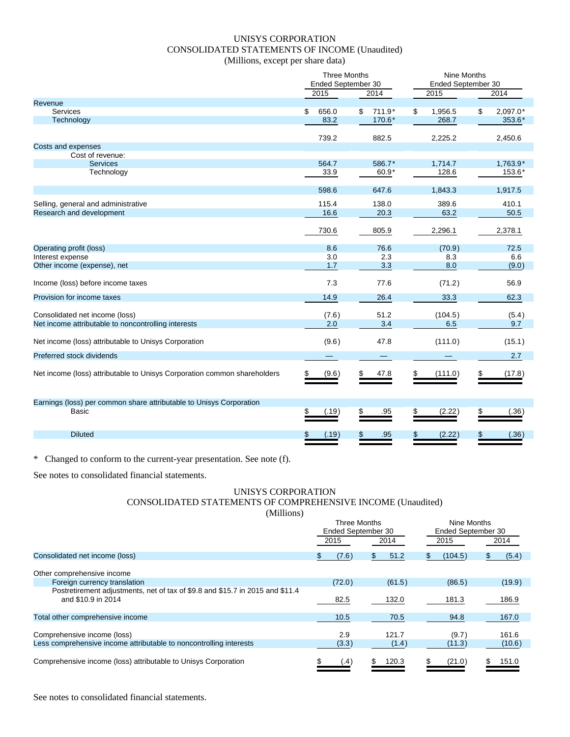#### UNISYS CORPORATION CONSOLIDATED STATEMENTS OF INCOME (Unaudited) (Millions, except per share data)

|                                                                          | <b>Three Months</b><br>Ended September 30 |                          | Nine Months<br>Ended September 30 |                |
|--------------------------------------------------------------------------|-------------------------------------------|--------------------------|-----------------------------------|----------------|
|                                                                          | 2015                                      | 2014                     | 2015                              | 2014           |
| Revenue                                                                  |                                           |                          |                                   |                |
| <b>Services</b>                                                          | 656.0<br>\$                               | 711.9*<br>\$             | 1,956.5<br>\$                     | 2,097.0*<br>\$ |
| Technology                                                               | 83.2                                      | 170.6*                   | 268.7                             | 353.6*         |
|                                                                          | 739.2                                     | 882.5                    | 2,225.2                           | 2,450.6        |
| Costs and expenses                                                       |                                           |                          |                                   |                |
| Cost of revenue:                                                         |                                           |                          |                                   |                |
| <b>Services</b>                                                          | 564.7                                     | 586.7*                   | 1,714.7                           | $1,763.9*$     |
| Technology                                                               | 33.9                                      | $60.9*$                  | 128.6                             | 153.6*         |
|                                                                          | 598.6                                     | 647.6                    | 1,843.3                           | 1,917.5        |
| Selling, general and administrative                                      | 115.4                                     | 138.0                    | 389.6                             | 410.1          |
| Research and development                                                 | 16.6                                      | 20.3                     | 63.2                              | 50.5           |
|                                                                          |                                           |                          |                                   |                |
|                                                                          | 730.6                                     | 805.9                    | 2,296.1                           | 2,378.1        |
| Operating profit (loss)                                                  | 8.6                                       | 76.6                     | (70.9)                            | 72.5           |
| Interest expense                                                         | 3.0                                       | 2.3                      | 8.3                               | 6.6            |
| Other income (expense), net                                              | 1.7                                       | 3.3                      | 8.0                               | (9.0)          |
| Income (loss) before income taxes                                        | 7.3                                       | 77.6                     | (71.2)                            | 56.9           |
| Provision for income taxes                                               | 14.9                                      | 26.4                     | 33.3                              | 62.3           |
| Consolidated net income (loss)                                           | (7.6)                                     | 51.2                     | (104.5)                           | (5.4)          |
| Net income attributable to noncontrolling interests                      | 2.0                                       | 3.4                      | 6.5                               | 9.7            |
| Net income (loss) attributable to Unisys Corporation                     | (9.6)                                     | 47.8                     | (111.0)                           | (15.1)         |
| Preferred stock dividends                                                | $\overline{\phantom{0}}$                  | $\overline{\phantom{m}}$ |                                   | 2.7            |
|                                                                          |                                           |                          |                                   |                |
| Net income (loss) attributable to Unisys Corporation common shareholders | (9.6)                                     | 47.8                     | (111.0)                           | (17.8)         |
| Earnings (loss) per common share attributable to Unisys Corporation      |                                           |                          |                                   |                |
| <b>Basic</b>                                                             | (.19)                                     | .95                      | \$<br>(2.22)                      | .36'           |
| <b>Diluted</b>                                                           | (.19)<br>\$                               | .95                      | \$<br>(2.22)                      | (.36)<br>\$    |

\* Changed to conform to the current-year presentation. See note (f).

See notes to consolidated financial statements.

#### UNISYS CORPORATION CONSOLIDATED STATEMENTS OF COMPREHENSIVE INCOME (Unaudited) (Millions)

|                                                                                                     | <b>Three Months</b><br>Ended September 30 |        |   |        | Nine Months<br>Ended September 30 |         |     |        |
|-----------------------------------------------------------------------------------------------------|-------------------------------------------|--------|---|--------|-----------------------------------|---------|-----|--------|
|                                                                                                     |                                           | 2015   |   | 2014   |                                   | 2015    |     | 2014   |
| Consolidated net income (loss)                                                                      |                                           | (7.6)  |   | 51.2   |                                   | (104.5) |     | (5.4)  |
| Other comprehensive income                                                                          |                                           |        |   |        |                                   |         |     |        |
| Foreign currency translation                                                                        |                                           | (72.0) |   | (61.5) |                                   | (86.5)  |     | (19.9) |
| Postretirement adjustments, net of tax of \$9.8 and \$15.7 in 2015 and \$11.4<br>and \$10.9 in 2014 |                                           | 82.5   |   | 132.0  |                                   | 181.3   |     | 186.9  |
| Total other comprehensive income                                                                    |                                           | 10.5   |   | 70.5   |                                   | 94.8    |     | 167.0  |
| Comprehensive income (loss)                                                                         |                                           | 2.9    |   | 121.7  |                                   | (9.7)   |     | 161.6  |
| Less comprehensive income attributable to noncontrolling interests                                  |                                           | (3.3)  |   | (1.4)  |                                   | (11.3)  |     | (10.6) |
| Comprehensive income (loss) attributable to Unisys Corporation                                      |                                           | (.4)   | S | 120.3  |                                   | (21.0)  | æУ. | 151.0  |

See notes to consolidated financial statements.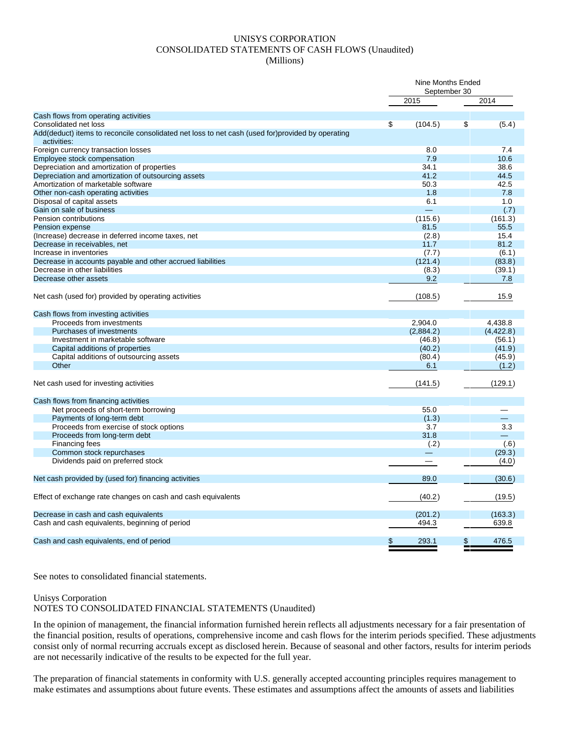#### UNISYS CORPORATION CONSOLIDATED STATEMENTS OF CASH FLOWS (Unaudited) (Millions)

| 2015<br>2014<br>Cash flows from operating activities<br>\$<br>Consolidated net loss<br>(104.5)<br>\$<br>(5.4)<br>Add(deduct) items to reconcile consolidated net loss to net cash (used for)provided by operating<br>activities:<br>Foreign currency transaction losses<br>8.0<br>7.4<br>Employee stock compensation<br>7.9<br>10.6<br>Depreciation and amortization of properties<br>34.1<br>38.6<br>Depreciation and amortization of outsourcing assets<br>41.2<br>44.5<br>Amortization of marketable software<br>42.5<br>50.3<br>Other non-cash operating activities<br>1.8<br>7.8<br>Disposal of capital assets<br>6.1<br>1.0<br>Gain on sale of business<br>(.7)<br>Pension contributions<br>(115.6)<br>(161.3)<br>Pension expense<br>81.5<br>55.5<br>(Increase) decrease in deferred income taxes, net<br>(2.8)<br>15.4<br>Decrease in receivables, net<br>81.2<br>11.7<br>Increase in inventories<br>(7.7)<br>(6.1)<br>Decrease in accounts payable and other accrued liabilities<br>(121.4)<br>(83.8)<br>(39.1)<br>Decrease in other liabilities<br>(8.3)<br>9.2<br>Decrease other assets<br>7.8<br>Net cash (used for) provided by operating activities<br>(108.5)<br>15.9<br>Cash flows from investing activities<br>Proceeds from investments<br>2,904.0<br>4,438.8<br>Purchases of investments<br>(4,422.8)<br>(2,884.2)<br>Investment in marketable software<br>(46.8)<br>(56.1)<br>Capital additions of properties<br>(40.2)<br>(41.9)<br>Capital additions of outsourcing assets<br>(80.4)<br>(45.9)<br>Other<br>6.1<br>(1.2)<br>(129.1)<br>Net cash used for investing activities<br>(141.5)<br>Cash flows from financing activities<br>Net proceeds of short-term borrowing<br>55.0<br>Payments of long-term debt<br>(1.3)<br>Proceeds from exercise of stock options<br>3.7<br>3.3<br>Proceeds from long-term debt<br>31.8<br><b>Financing fees</b><br>(.6)<br>(.2)<br>Common stock repurchases<br>(29.3)<br>Dividends paid on preferred stock<br>(4.0)<br>Net cash provided by (used for) financing activities<br>89.0<br>(30.6)<br>Effect of exchange rate changes on cash and cash equivalents<br>(40.2)<br>(19.5)<br>Decrease in cash and cash equivalents<br>(201.2)<br>(163.3)<br>Cash and cash equivalents, beginning of period<br>494.3<br>639.8<br>Cash and cash equivalents, end of period<br>\$<br>293.1<br>\$<br>476.5 |  | Nine Months Ended<br>September 30 |  |
|------------------------------------------------------------------------------------------------------------------------------------------------------------------------------------------------------------------------------------------------------------------------------------------------------------------------------------------------------------------------------------------------------------------------------------------------------------------------------------------------------------------------------------------------------------------------------------------------------------------------------------------------------------------------------------------------------------------------------------------------------------------------------------------------------------------------------------------------------------------------------------------------------------------------------------------------------------------------------------------------------------------------------------------------------------------------------------------------------------------------------------------------------------------------------------------------------------------------------------------------------------------------------------------------------------------------------------------------------------------------------------------------------------------------------------------------------------------------------------------------------------------------------------------------------------------------------------------------------------------------------------------------------------------------------------------------------------------------------------------------------------------------------------------------------------------------------------------------------------------------------------------------------------------------------------------------------------------------------------------------------------------------------------------------------------------------------------------------------------------------------------------------------------------------------------------------------------------------------------------------------------------------------------------------------------------------------------------------------|--|-----------------------------------|--|
|                                                                                                                                                                                                                                                                                                                                                                                                                                                                                                                                                                                                                                                                                                                                                                                                                                                                                                                                                                                                                                                                                                                                                                                                                                                                                                                                                                                                                                                                                                                                                                                                                                                                                                                                                                                                                                                                                                                                                                                                                                                                                                                                                                                                                                                                                                                                                      |  |                                   |  |
|                                                                                                                                                                                                                                                                                                                                                                                                                                                                                                                                                                                                                                                                                                                                                                                                                                                                                                                                                                                                                                                                                                                                                                                                                                                                                                                                                                                                                                                                                                                                                                                                                                                                                                                                                                                                                                                                                                                                                                                                                                                                                                                                                                                                                                                                                                                                                      |  |                                   |  |
|                                                                                                                                                                                                                                                                                                                                                                                                                                                                                                                                                                                                                                                                                                                                                                                                                                                                                                                                                                                                                                                                                                                                                                                                                                                                                                                                                                                                                                                                                                                                                                                                                                                                                                                                                                                                                                                                                                                                                                                                                                                                                                                                                                                                                                                                                                                                                      |  |                                   |  |
|                                                                                                                                                                                                                                                                                                                                                                                                                                                                                                                                                                                                                                                                                                                                                                                                                                                                                                                                                                                                                                                                                                                                                                                                                                                                                                                                                                                                                                                                                                                                                                                                                                                                                                                                                                                                                                                                                                                                                                                                                                                                                                                                                                                                                                                                                                                                                      |  |                                   |  |
|                                                                                                                                                                                                                                                                                                                                                                                                                                                                                                                                                                                                                                                                                                                                                                                                                                                                                                                                                                                                                                                                                                                                                                                                                                                                                                                                                                                                                                                                                                                                                                                                                                                                                                                                                                                                                                                                                                                                                                                                                                                                                                                                                                                                                                                                                                                                                      |  |                                   |  |
|                                                                                                                                                                                                                                                                                                                                                                                                                                                                                                                                                                                                                                                                                                                                                                                                                                                                                                                                                                                                                                                                                                                                                                                                                                                                                                                                                                                                                                                                                                                                                                                                                                                                                                                                                                                                                                                                                                                                                                                                                                                                                                                                                                                                                                                                                                                                                      |  |                                   |  |
|                                                                                                                                                                                                                                                                                                                                                                                                                                                                                                                                                                                                                                                                                                                                                                                                                                                                                                                                                                                                                                                                                                                                                                                                                                                                                                                                                                                                                                                                                                                                                                                                                                                                                                                                                                                                                                                                                                                                                                                                                                                                                                                                                                                                                                                                                                                                                      |  |                                   |  |
|                                                                                                                                                                                                                                                                                                                                                                                                                                                                                                                                                                                                                                                                                                                                                                                                                                                                                                                                                                                                                                                                                                                                                                                                                                                                                                                                                                                                                                                                                                                                                                                                                                                                                                                                                                                                                                                                                                                                                                                                                                                                                                                                                                                                                                                                                                                                                      |  |                                   |  |
|                                                                                                                                                                                                                                                                                                                                                                                                                                                                                                                                                                                                                                                                                                                                                                                                                                                                                                                                                                                                                                                                                                                                                                                                                                                                                                                                                                                                                                                                                                                                                                                                                                                                                                                                                                                                                                                                                                                                                                                                                                                                                                                                                                                                                                                                                                                                                      |  |                                   |  |
|                                                                                                                                                                                                                                                                                                                                                                                                                                                                                                                                                                                                                                                                                                                                                                                                                                                                                                                                                                                                                                                                                                                                                                                                                                                                                                                                                                                                                                                                                                                                                                                                                                                                                                                                                                                                                                                                                                                                                                                                                                                                                                                                                                                                                                                                                                                                                      |  |                                   |  |
|                                                                                                                                                                                                                                                                                                                                                                                                                                                                                                                                                                                                                                                                                                                                                                                                                                                                                                                                                                                                                                                                                                                                                                                                                                                                                                                                                                                                                                                                                                                                                                                                                                                                                                                                                                                                                                                                                                                                                                                                                                                                                                                                                                                                                                                                                                                                                      |  |                                   |  |
|                                                                                                                                                                                                                                                                                                                                                                                                                                                                                                                                                                                                                                                                                                                                                                                                                                                                                                                                                                                                                                                                                                                                                                                                                                                                                                                                                                                                                                                                                                                                                                                                                                                                                                                                                                                                                                                                                                                                                                                                                                                                                                                                                                                                                                                                                                                                                      |  |                                   |  |
|                                                                                                                                                                                                                                                                                                                                                                                                                                                                                                                                                                                                                                                                                                                                                                                                                                                                                                                                                                                                                                                                                                                                                                                                                                                                                                                                                                                                                                                                                                                                                                                                                                                                                                                                                                                                                                                                                                                                                                                                                                                                                                                                                                                                                                                                                                                                                      |  |                                   |  |
|                                                                                                                                                                                                                                                                                                                                                                                                                                                                                                                                                                                                                                                                                                                                                                                                                                                                                                                                                                                                                                                                                                                                                                                                                                                                                                                                                                                                                                                                                                                                                                                                                                                                                                                                                                                                                                                                                                                                                                                                                                                                                                                                                                                                                                                                                                                                                      |  |                                   |  |
|                                                                                                                                                                                                                                                                                                                                                                                                                                                                                                                                                                                                                                                                                                                                                                                                                                                                                                                                                                                                                                                                                                                                                                                                                                                                                                                                                                                                                                                                                                                                                                                                                                                                                                                                                                                                                                                                                                                                                                                                                                                                                                                                                                                                                                                                                                                                                      |  |                                   |  |
|                                                                                                                                                                                                                                                                                                                                                                                                                                                                                                                                                                                                                                                                                                                                                                                                                                                                                                                                                                                                                                                                                                                                                                                                                                                                                                                                                                                                                                                                                                                                                                                                                                                                                                                                                                                                                                                                                                                                                                                                                                                                                                                                                                                                                                                                                                                                                      |  |                                   |  |
|                                                                                                                                                                                                                                                                                                                                                                                                                                                                                                                                                                                                                                                                                                                                                                                                                                                                                                                                                                                                                                                                                                                                                                                                                                                                                                                                                                                                                                                                                                                                                                                                                                                                                                                                                                                                                                                                                                                                                                                                                                                                                                                                                                                                                                                                                                                                                      |  |                                   |  |
|                                                                                                                                                                                                                                                                                                                                                                                                                                                                                                                                                                                                                                                                                                                                                                                                                                                                                                                                                                                                                                                                                                                                                                                                                                                                                                                                                                                                                                                                                                                                                                                                                                                                                                                                                                                                                                                                                                                                                                                                                                                                                                                                                                                                                                                                                                                                                      |  |                                   |  |
|                                                                                                                                                                                                                                                                                                                                                                                                                                                                                                                                                                                                                                                                                                                                                                                                                                                                                                                                                                                                                                                                                                                                                                                                                                                                                                                                                                                                                                                                                                                                                                                                                                                                                                                                                                                                                                                                                                                                                                                                                                                                                                                                                                                                                                                                                                                                                      |  |                                   |  |
|                                                                                                                                                                                                                                                                                                                                                                                                                                                                                                                                                                                                                                                                                                                                                                                                                                                                                                                                                                                                                                                                                                                                                                                                                                                                                                                                                                                                                                                                                                                                                                                                                                                                                                                                                                                                                                                                                                                                                                                                                                                                                                                                                                                                                                                                                                                                                      |  |                                   |  |
|                                                                                                                                                                                                                                                                                                                                                                                                                                                                                                                                                                                                                                                                                                                                                                                                                                                                                                                                                                                                                                                                                                                                                                                                                                                                                                                                                                                                                                                                                                                                                                                                                                                                                                                                                                                                                                                                                                                                                                                                                                                                                                                                                                                                                                                                                                                                                      |  |                                   |  |
|                                                                                                                                                                                                                                                                                                                                                                                                                                                                                                                                                                                                                                                                                                                                                                                                                                                                                                                                                                                                                                                                                                                                                                                                                                                                                                                                                                                                                                                                                                                                                                                                                                                                                                                                                                                                                                                                                                                                                                                                                                                                                                                                                                                                                                                                                                                                                      |  |                                   |  |
|                                                                                                                                                                                                                                                                                                                                                                                                                                                                                                                                                                                                                                                                                                                                                                                                                                                                                                                                                                                                                                                                                                                                                                                                                                                                                                                                                                                                                                                                                                                                                                                                                                                                                                                                                                                                                                                                                                                                                                                                                                                                                                                                                                                                                                                                                                                                                      |  |                                   |  |
|                                                                                                                                                                                                                                                                                                                                                                                                                                                                                                                                                                                                                                                                                                                                                                                                                                                                                                                                                                                                                                                                                                                                                                                                                                                                                                                                                                                                                                                                                                                                                                                                                                                                                                                                                                                                                                                                                                                                                                                                                                                                                                                                                                                                                                                                                                                                                      |  |                                   |  |
|                                                                                                                                                                                                                                                                                                                                                                                                                                                                                                                                                                                                                                                                                                                                                                                                                                                                                                                                                                                                                                                                                                                                                                                                                                                                                                                                                                                                                                                                                                                                                                                                                                                                                                                                                                                                                                                                                                                                                                                                                                                                                                                                                                                                                                                                                                                                                      |  |                                   |  |
|                                                                                                                                                                                                                                                                                                                                                                                                                                                                                                                                                                                                                                                                                                                                                                                                                                                                                                                                                                                                                                                                                                                                                                                                                                                                                                                                                                                                                                                                                                                                                                                                                                                                                                                                                                                                                                                                                                                                                                                                                                                                                                                                                                                                                                                                                                                                                      |  |                                   |  |
|                                                                                                                                                                                                                                                                                                                                                                                                                                                                                                                                                                                                                                                                                                                                                                                                                                                                                                                                                                                                                                                                                                                                                                                                                                                                                                                                                                                                                                                                                                                                                                                                                                                                                                                                                                                                                                                                                                                                                                                                                                                                                                                                                                                                                                                                                                                                                      |  |                                   |  |
|                                                                                                                                                                                                                                                                                                                                                                                                                                                                                                                                                                                                                                                                                                                                                                                                                                                                                                                                                                                                                                                                                                                                                                                                                                                                                                                                                                                                                                                                                                                                                                                                                                                                                                                                                                                                                                                                                                                                                                                                                                                                                                                                                                                                                                                                                                                                                      |  |                                   |  |
|                                                                                                                                                                                                                                                                                                                                                                                                                                                                                                                                                                                                                                                                                                                                                                                                                                                                                                                                                                                                                                                                                                                                                                                                                                                                                                                                                                                                                                                                                                                                                                                                                                                                                                                                                                                                                                                                                                                                                                                                                                                                                                                                                                                                                                                                                                                                                      |  |                                   |  |
|                                                                                                                                                                                                                                                                                                                                                                                                                                                                                                                                                                                                                                                                                                                                                                                                                                                                                                                                                                                                                                                                                                                                                                                                                                                                                                                                                                                                                                                                                                                                                                                                                                                                                                                                                                                                                                                                                                                                                                                                                                                                                                                                                                                                                                                                                                                                                      |  |                                   |  |
|                                                                                                                                                                                                                                                                                                                                                                                                                                                                                                                                                                                                                                                                                                                                                                                                                                                                                                                                                                                                                                                                                                                                                                                                                                                                                                                                                                                                                                                                                                                                                                                                                                                                                                                                                                                                                                                                                                                                                                                                                                                                                                                                                                                                                                                                                                                                                      |  |                                   |  |
|                                                                                                                                                                                                                                                                                                                                                                                                                                                                                                                                                                                                                                                                                                                                                                                                                                                                                                                                                                                                                                                                                                                                                                                                                                                                                                                                                                                                                                                                                                                                                                                                                                                                                                                                                                                                                                                                                                                                                                                                                                                                                                                                                                                                                                                                                                                                                      |  |                                   |  |
|                                                                                                                                                                                                                                                                                                                                                                                                                                                                                                                                                                                                                                                                                                                                                                                                                                                                                                                                                                                                                                                                                                                                                                                                                                                                                                                                                                                                                                                                                                                                                                                                                                                                                                                                                                                                                                                                                                                                                                                                                                                                                                                                                                                                                                                                                                                                                      |  |                                   |  |
|                                                                                                                                                                                                                                                                                                                                                                                                                                                                                                                                                                                                                                                                                                                                                                                                                                                                                                                                                                                                                                                                                                                                                                                                                                                                                                                                                                                                                                                                                                                                                                                                                                                                                                                                                                                                                                                                                                                                                                                                                                                                                                                                                                                                                                                                                                                                                      |  |                                   |  |
|                                                                                                                                                                                                                                                                                                                                                                                                                                                                                                                                                                                                                                                                                                                                                                                                                                                                                                                                                                                                                                                                                                                                                                                                                                                                                                                                                                                                                                                                                                                                                                                                                                                                                                                                                                                                                                                                                                                                                                                                                                                                                                                                                                                                                                                                                                                                                      |  |                                   |  |
|                                                                                                                                                                                                                                                                                                                                                                                                                                                                                                                                                                                                                                                                                                                                                                                                                                                                                                                                                                                                                                                                                                                                                                                                                                                                                                                                                                                                                                                                                                                                                                                                                                                                                                                                                                                                                                                                                                                                                                                                                                                                                                                                                                                                                                                                                                                                                      |  |                                   |  |
|                                                                                                                                                                                                                                                                                                                                                                                                                                                                                                                                                                                                                                                                                                                                                                                                                                                                                                                                                                                                                                                                                                                                                                                                                                                                                                                                                                                                                                                                                                                                                                                                                                                                                                                                                                                                                                                                                                                                                                                                                                                                                                                                                                                                                                                                                                                                                      |  |                                   |  |
|                                                                                                                                                                                                                                                                                                                                                                                                                                                                                                                                                                                                                                                                                                                                                                                                                                                                                                                                                                                                                                                                                                                                                                                                                                                                                                                                                                                                                                                                                                                                                                                                                                                                                                                                                                                                                                                                                                                                                                                                                                                                                                                                                                                                                                                                                                                                                      |  |                                   |  |
|                                                                                                                                                                                                                                                                                                                                                                                                                                                                                                                                                                                                                                                                                                                                                                                                                                                                                                                                                                                                                                                                                                                                                                                                                                                                                                                                                                                                                                                                                                                                                                                                                                                                                                                                                                                                                                                                                                                                                                                                                                                                                                                                                                                                                                                                                                                                                      |  |                                   |  |
|                                                                                                                                                                                                                                                                                                                                                                                                                                                                                                                                                                                                                                                                                                                                                                                                                                                                                                                                                                                                                                                                                                                                                                                                                                                                                                                                                                                                                                                                                                                                                                                                                                                                                                                                                                                                                                                                                                                                                                                                                                                                                                                                                                                                                                                                                                                                                      |  |                                   |  |
|                                                                                                                                                                                                                                                                                                                                                                                                                                                                                                                                                                                                                                                                                                                                                                                                                                                                                                                                                                                                                                                                                                                                                                                                                                                                                                                                                                                                                                                                                                                                                                                                                                                                                                                                                                                                                                                                                                                                                                                                                                                                                                                                                                                                                                                                                                                                                      |  |                                   |  |
|                                                                                                                                                                                                                                                                                                                                                                                                                                                                                                                                                                                                                                                                                                                                                                                                                                                                                                                                                                                                                                                                                                                                                                                                                                                                                                                                                                                                                                                                                                                                                                                                                                                                                                                                                                                                                                                                                                                                                                                                                                                                                                                                                                                                                                                                                                                                                      |  |                                   |  |
|                                                                                                                                                                                                                                                                                                                                                                                                                                                                                                                                                                                                                                                                                                                                                                                                                                                                                                                                                                                                                                                                                                                                                                                                                                                                                                                                                                                                                                                                                                                                                                                                                                                                                                                                                                                                                                                                                                                                                                                                                                                                                                                                                                                                                                                                                                                                                      |  |                                   |  |

See notes to consolidated financial statements.

## Unisys Corporation

NOTES TO CONSOLIDATED FINANCIAL STATEMENTS (Unaudited)

In the opinion of management, the financial information furnished herein reflects all adjustments necessary for a fair presentation of the financial position, results of operations, comprehensive income and cash flows for the interim periods specified. These adjustments consist only of normal recurring accruals except as disclosed herein. Because of seasonal and other factors, results for interim periods are not necessarily indicative of the results to be expected for the full year.

The preparation of financial statements in conformity with U.S. generally accepted accounting principles requires management to make estimates and assumptions about future events. These estimates and assumptions affect the amounts of assets and liabilities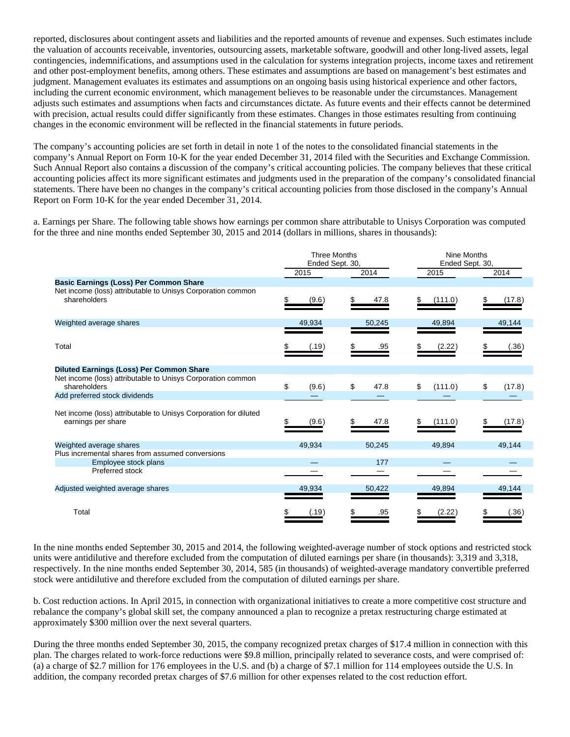reported, disclosures about contingent assets and liabilities and the reported amounts of revenue and expenses. Such estimates include the valuation of accounts receivable, inventories, outsourcing assets, marketable software, goodwill and other long-lived assets, legal contingencies, indemnifications, and assumptions used in the calculation for systems integration projects, income taxes and retirement and other post-employment benefits, among others. These estimates and assumptions are based on management's best estimates and judgment. Management evaluates its estimates and assumptions on an ongoing basis using historical experience and other factors, including the current economic environment, which management believes to be reasonable under the circumstances. Management adjusts such estimates and assumptions when facts and circumstances dictate. As future events and their effects cannot be determined with precision, actual results could differ significantly from these estimates. Changes in those estimates resulting from continuing changes in the economic environment will be reflected in the financial statements in future periods.

The company's accounting policies are set forth in detail in note 1 of the notes to the consolidated financial statements in the company's Annual Report on Form 10-K for the year ended December 31, 2014 filed with the Securities and Exchange Commission. Such Annual Report also contains a discussion of the company's critical accounting policies. The company believes that these critical accounting policies affect its more significant estimates and judgments used in the preparation of the company's consolidated financial statements. There have been no changes in the company's critical accounting policies from those disclosed in the company's Annual Report on Form 10-K for the year ended December 31, 2014.

a. Earnings per Share. The following table shows how earnings per common share attributable to Unisys Corporation was computed for the three and nine months ended September 30, 2015 and 2014 (dollars in millions, shares in thousands):

|                                                                                        | <b>Three Months</b><br>Ended Sept. 30,<br>2015<br>2014 |        |    |        | Nine Months<br>Ended Sept. 30.<br>2014<br>2015 |         |    |        |
|----------------------------------------------------------------------------------------|--------------------------------------------------------|--------|----|--------|------------------------------------------------|---------|----|--------|
| <b>Basic Earnings (Loss) Per Common Share</b>                                          |                                                        |        |    |        |                                                |         |    |        |
| Net income (loss) attributable to Unisys Corporation common<br>shareholders            |                                                        | (9.6)  |    | 47.8   |                                                | (111.0) |    | (17.8) |
| Weighted average shares                                                                |                                                        | 49,934 |    | 50,245 |                                                | 49,894  |    | 49,144 |
|                                                                                        |                                                        |        |    |        |                                                |         |    |        |
| Total                                                                                  |                                                        | (.19)  |    | .95    |                                                | (2.22)  |    | (.36)  |
| <b>Diluted Earnings (Loss) Per Common Share</b>                                        |                                                        |        |    |        |                                                |         |    |        |
| Net income (loss) attributable to Unisys Corporation common<br>shareholders            | \$                                                     | (9.6)  | \$ | 47.8   | \$                                             | (111.0) | \$ | (17.8) |
| Add preferred stock dividends                                                          |                                                        |        |    |        |                                                |         |    |        |
| Net income (loss) attributable to Unisys Corporation for diluted<br>earnings per share |                                                        | (9.6)  |    | 47.8   |                                                | (111.0) |    | (17.8) |
| Weighted average shares                                                                |                                                        | 49,934 |    | 50,245 |                                                | 49,894  |    | 49,144 |
| Plus incremental shares from assumed conversions                                       |                                                        |        |    |        |                                                |         |    |        |
| Employee stock plans                                                                   |                                                        |        |    | 177    |                                                |         |    |        |
| Preferred stock                                                                        |                                                        |        |    |        |                                                |         |    |        |
| Adjusted weighted average shares                                                       |                                                        | 49,934 |    | 50,422 |                                                | 49,894  |    | 49,144 |
| Total                                                                                  |                                                        | (.19)  |    | .95    |                                                | (2.22)  |    | (.36)  |

In the nine months ended September 30, 2015 and 2014, the following weighted-average number of stock options and restricted stock units were antidilutive and therefore excluded from the computation of diluted earnings per share (in thousands): 3,319 and 3,318, respectively. In the nine months ended September 30, 2014, 585 (in thousands) of weighted-average mandatory convertible preferred stock were antidilutive and therefore excluded from the computation of diluted earnings per share.

b. Cost reduction actions. In April 2015, in connection with organizational initiatives to create a more competitive cost structure and rebalance the company's global skill set, the company announced a plan to recognize a pretax restructuring charge estimated at approximately \$300 million over the next several quarters.

During the three months ended September 30, 2015, the company recognized pretax charges of \$17.4 million in connection with this plan. The charges related to work-force reductions were \$9.8 million, principally related to severance costs, and were comprised of: (a) a charge of \$2.7 million for 176 employees in the U.S. and (b) a charge of \$7.1 million for 114 employees outside the U.S. In addition, the company recorded pretax charges of \$7.6 million for other expenses related to the cost reduction effort.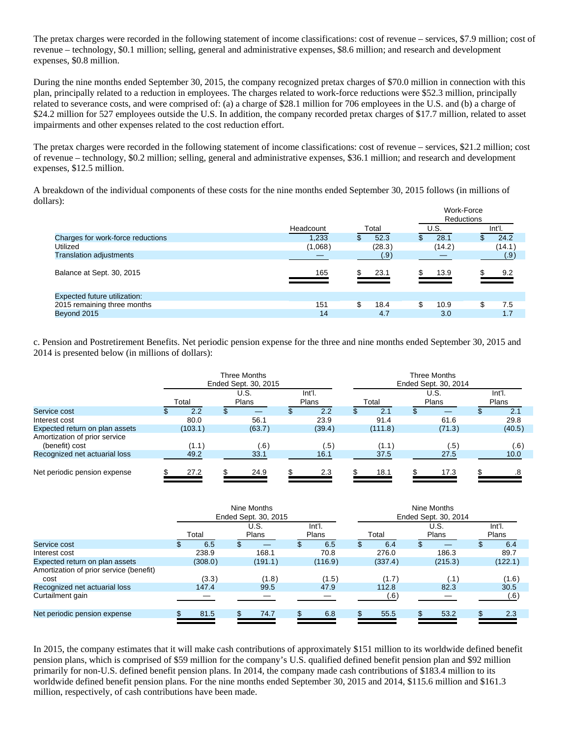The pretax charges were recorded in the following statement of income classifications: cost of revenue – services, \$7.9 million; cost of revenue – technology, \$0.1 million; selling, general and administrative expenses, \$8.6 million; and research and development expenses, \$0.8 million.

During the nine months ended September 30, 2015, the company recognized pretax charges of \$70.0 million in connection with this plan, principally related to a reduction in employees. The charges related to work-force reductions were \$52.3 million, principally related to severance costs, and were comprised of: (a) a charge of \$28.1 million for 706 employees in the U.S. and (b) a charge of \$24.2 million for 527 employees outside the U.S. In addition, the company recorded pretax charges of \$17.7 million, related to asset impairments and other expenses related to the cost reduction effort.

The pretax charges were recorded in the following statement of income classifications: cost of revenue – services, \$21.2 million; cost of revenue – technology, \$0.2 million; selling, general and administrative expenses, \$36.1 million; and research and development expenses, \$12.5 million.

A breakdown of the individual components of these costs for the nine months ended September 30, 2015 follows (in millions of dollars):

|                                   |           |             | Work-Force<br><b>Reductions</b> |           |
|-----------------------------------|-----------|-------------|---------------------------------|-----------|
|                                   | Headcount | Total       | U.S.                            | Int'l.    |
| Charges for work-force reductions | 1,233     | 52.3<br>\$. | 28.1<br>Ж.                      | 24.2      |
| Utilized                          | (1,068)   | (28.3)      | (14.2)                          | (14.1)    |
| <b>Translation adjustments</b>    |           | (.9)        |                                 | (.9)      |
| Balance at Sept. 30, 2015         | 165       | \$<br>23.1  | 13.9<br>\$                      | 9.2       |
| Expected future utilization:      |           |             |                                 |           |
| 2015 remaining three months       | 151       | \$<br>18.4  | \$<br>10.9                      | \$<br>7.5 |
| Beyond 2015                       | 14        | 4.7         | 3.0                             | 1.7       |
|                                   |           |             |                                 |           |

c. Pension and Postretirement Benefits. Net periodic pension expense for the three and nine months ended September 30, 2015 and 2014 is presented below (in millions of dollars):

|                                                 | Three Months<br>Ended Sept. 30, 2015 |  |               |  |                 | Three Months<br>Ended Sept. 30, 2014 |  |               |  |                 |  |
|-------------------------------------------------|--------------------------------------|--|---------------|--|-----------------|--------------------------------------|--|---------------|--|-----------------|--|
|                                                 | Total                                |  | U.S.<br>Plans |  | Int'l.<br>Plans | Total                                |  | U.S.<br>Plans |  | Int'l.<br>Plans |  |
| Service cost                                    | 2.2                                  |  |               |  | 2.2             | 2.1                                  |  |               |  | 2.1             |  |
| Interest cost                                   | 80.0                                 |  | 56.1          |  | 23.9            | 91.4                                 |  | 61.6          |  | 29.8            |  |
| Expected return on plan assets                  | (103.1)                              |  | (63.7)        |  | (39.4)          | (111.8)                              |  | (71.3)        |  | (40.5)          |  |
| Amortization of prior service<br>(benefit) cost | (1.1)                                |  | (.6)          |  | (.5)            | (1.1)                                |  | $.5^{\circ}$  |  | (.6)            |  |
| Recognized net actuarial loss                   | 49.2                                 |  | 33.1          |  | 16.1            | 37.5                                 |  | 27.5          |  | 10.0            |  |
| Net periodic pension expense                    | 27.2                                 |  | 24.9          |  | 2.3             | 18.1                                 |  | 17.3          |  |                 |  |

|                                         | Nine Months<br>Ended Sept. 30, 2015 |  |               |  |                        |  | Ended Sept. 30, 2014 |   |               |                        |
|-----------------------------------------|-------------------------------------|--|---------------|--|------------------------|--|----------------------|---|---------------|------------------------|
|                                         | Total                               |  | U.S.<br>Plans |  | Int'l.<br><b>Plans</b> |  | Total                |   | U.S.<br>Plans | Int'l.<br><b>Plans</b> |
| Service cost                            | 6.5                                 |  |               |  | 6.5                    |  | 6.4                  | æ |               | 6.4                    |
| Interest cost                           | 238.9                               |  | 168.1         |  | 70.8                   |  | 276.0                |   | 186.3         | 89.7                   |
| Expected return on plan assets          | (308.0)                             |  | (191.1)       |  | (116.9)                |  | (337.4)              |   | (215.3)       | (122.1)                |
| Amortization of prior service (benefit) |                                     |  |               |  |                        |  |                      |   |               |                        |
| cost                                    | (3.3)                               |  | (1.8)         |  | (1.5)                  |  | (1.7)                |   | (.1)          | (1.6)                  |
| Recognized net actuarial loss           | 147.4                               |  | 99.5          |  | 47.9                   |  | 112.8                |   | 82.3          | 30.5                   |
| Curtailment gain                        |                                     |  |               |  |                        |  | (6, 6)               |   |               | (.6)                   |
| Net periodic pension expense            | 81.5                                |  | 74.7          |  | 6.8                    |  | 55.5                 |   | 53.2          | 2.3                    |

In 2015, the company estimates that it will make cash contributions of approximately \$151 million to its worldwide defined benefit pension plans, which is comprised of \$59 million for the company's U.S. qualified defined benefit pension plan and \$92 million primarily for non-U.S. defined benefit pension plans. In 2014, the company made cash contributions of \$183.4 million to its worldwide defined benefit pension plans. For the nine months ended September 30, 2015 and 2014, \$115.6 million and \$161.3 million, respectively, of cash contributions have been made.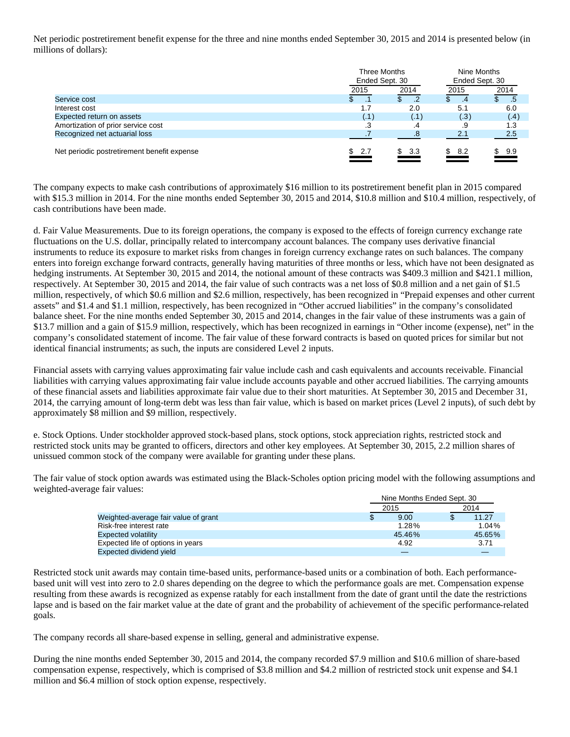Net periodic postretirement benefit expense for the three and nine months ended September 30, 2015 and 2014 is presented below (in millions of dollars):

|                                             | Three Months<br>Ended Sept. 30 |           | Nine Months<br>Ended Sept. 30 |       |  |
|---------------------------------------------|--------------------------------|-----------|-------------------------------|-------|--|
|                                             | 2015                           | 2014      | 2015                          | 2014  |  |
| Service cost                                |                                | .2        | .4                            | .5    |  |
| Interest cost                               | 1.7                            | 2.0       | 5.1                           | 6.0   |  |
| Expected return on assets                   | (1)                            | (1)       | (.3)                          | (4)   |  |
| Amortization of prior service cost          |                                | .4        | .9                            | 1.3   |  |
| Recognized net actuarial loss               |                                |           | 2.1                           | 2.5   |  |
| Net periodic postretirement benefit expense | \$<br>-2.7                     | 3.3<br>S. | \$<br>8.2                     | \$9.9 |  |

The company expects to make cash contributions of approximately \$16 million to its postretirement benefit plan in 2015 compared with \$15.3 million in 2014. For the nine months ended September 30, 2015 and 2014, \$10.8 million and \$10.4 million, respectively, of cash contributions have been made.

d. Fair Value Measurements. Due to its foreign operations, the company is exposed to the effects of foreign currency exchange rate fluctuations on the U.S. dollar, principally related to intercompany account balances. The company uses derivative financial instruments to reduce its exposure to market risks from changes in foreign currency exchange rates on such balances. The company enters into foreign exchange forward contracts, generally having maturities of three months or less, which have not been designated as hedging instruments. At September 30, 2015 and 2014, the notional amount of these contracts was \$409.3 million and \$421.1 million, respectively. At September 30, 2015 and 2014, the fair value of such contracts was a net loss of \$0.8 million and a net gain of \$1.5 million, respectively, of which \$0.6 million and \$2.6 million, respectively, has been recognized in "Prepaid expenses and other current assets" and \$1.4 and \$1.1 million, respectively, has been recognized in "Other accrued liabilities" in the company's consolidated balance sheet. For the nine months ended September 30, 2015 and 2014, changes in the fair value of these instruments was a gain of \$13.7 million and a gain of \$15.9 million, respectively, which has been recognized in earnings in "Other income (expense), net" in the company's consolidated statement of income. The fair value of these forward contracts is based on quoted prices for similar but not identical financial instruments; as such, the inputs are considered Level 2 inputs.

Financial assets with carrying values approximating fair value include cash and cash equivalents and accounts receivable. Financial liabilities with carrying values approximating fair value include accounts payable and other accrued liabilities. The carrying amounts of these financial assets and liabilities approximate fair value due to their short maturities. At September 30, 2015 and December 31, 2014, the carrying amount of long-term debt was less than fair value, which is based on market prices (Level 2 inputs), of such debt by approximately \$8 million and \$9 million, respectively.

e. Stock Options. Under stockholder approved stock-based plans, stock options, stock appreciation rights, restricted stock and restricted stock units may be granted to officers, directors and other key employees. At September 30, 2015, 2.2 million shares of unissued common stock of the company were available for granting under these plans.

The fair value of stock option awards was estimated using the Black-Scholes option pricing model with the following assumptions and weighted-average fair values:

|                                      |  | Nine Months Ended Sept. 30 |          |
|--------------------------------------|--|----------------------------|----------|
|                                      |  | 2014                       |          |
| Weighted-average fair value of grant |  | 9.00                       | 11.27    |
| Risk-free interest rate              |  | 1.28%                      | $1.04\%$ |
| <b>Expected volatility</b>           |  | 45.46%                     | 45.65%   |
| Expected life of options in years    |  | 4.92                       | 3.71     |
| Expected dividend yield              |  |                            |          |

Restricted stock unit awards may contain time-based units, performance-based units or a combination of both. Each performancebased unit will vest into zero to 2.0 shares depending on the degree to which the performance goals are met. Compensation expense resulting from these awards is recognized as expense ratably for each installment from the date of grant until the date the restrictions lapse and is based on the fair market value at the date of grant and the probability of achievement of the specific performance-related goals.

The company records all share-based expense in selling, general and administrative expense.

During the nine months ended September 30, 2015 and 2014, the company recorded \$7.9 million and \$10.6 million of share-based compensation expense, respectively, which is comprised of \$3.8 million and \$4.2 million of restricted stock unit expense and \$4.1 million and \$6.4 million of stock option expense, respectively.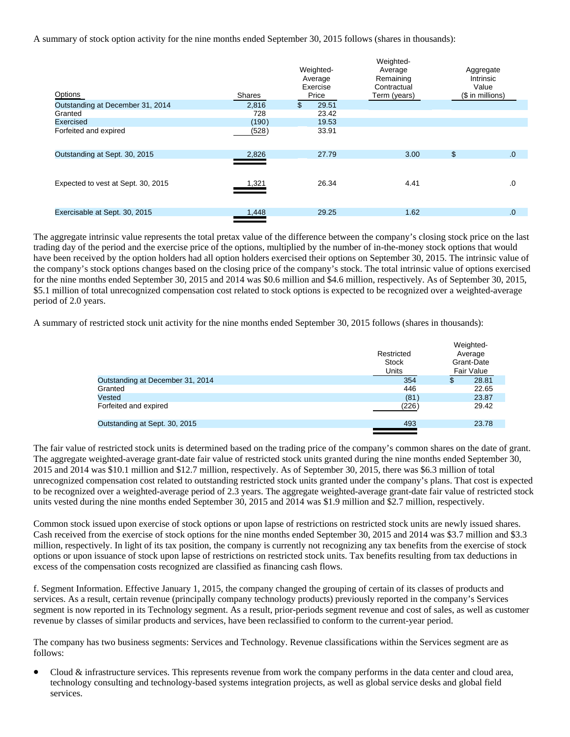A summary of stock option activity for the nine months ended September 30, 2015 follows (shares in thousands):

| Options                            | <b>Shares</b> | Weighted-<br>Average<br>Exercise<br>Price | Weighted-<br>Average<br>Remaining<br>Contractual<br>Term (years) | Aggregate<br>Intrinsic<br>Value<br>(\$ in millions) |    |
|------------------------------------|---------------|-------------------------------------------|------------------------------------------------------------------|-----------------------------------------------------|----|
| Outstanding at December 31, 2014   | 2,816         | \$<br>29.51                               |                                                                  |                                                     |    |
| Granted                            | 728           | 23.42                                     |                                                                  |                                                     |    |
| Exercised                          | (190)         | 19.53                                     |                                                                  |                                                     |    |
| Forfeited and expired              | (528)         | 33.91                                     |                                                                  |                                                     |    |
| Outstanding at Sept. 30, 2015      | 2,826         | 27.79                                     | 3.00                                                             | \$                                                  | .0 |
| Expected to vest at Sept. 30, 2015 | 1,321         | 26.34                                     | 4.41                                                             |                                                     | .0 |
| Exercisable at Sept. 30, 2015      | 1,448         | 29.25                                     | 1.62                                                             |                                                     | .0 |

The aggregate intrinsic value represents the total pretax value of the difference between the company's closing stock price on the last trading day of the period and the exercise price of the options, multiplied by the number of in-the-money stock options that would have been received by the option holders had all option holders exercised their options on September 30, 2015. The intrinsic value of the company's stock options changes based on the closing price of the company's stock. The total intrinsic value of options exercised for the nine months ended September 30, 2015 and 2014 was \$0.6 million and \$4.6 million, respectively. As of September 30, 2015, \$5.1 million of total unrecognized compensation cost related to stock options is expected to be recognized over a weighted-average period of 2.0 years.

A summary of restricted stock unit activity for the nine months ended September 30, 2015 follows (shares in thousands):

|                                  | Restricted<br><b>Stock</b><br>Units | Weighted-<br>Average<br>Grant-Date<br>Fair Value |
|----------------------------------|-------------------------------------|--------------------------------------------------|
| Outstanding at December 31, 2014 | 354                                 | 28.81                                            |
| Granted                          | 446                                 | 22.65                                            |
| Vested                           | (81)                                | 23.87                                            |
| Forfeited and expired            | (226)                               | 29.42                                            |
| Outstanding at Sept. 30, 2015    | 493                                 | 23.78                                            |

The fair value of restricted stock units is determined based on the trading price of the company's common shares on the date of grant. The aggregate weighted-average grant-date fair value of restricted stock units granted during the nine months ended September 30, 2015 and 2014 was \$10.1 million and \$12.7 million, respectively. As of September 30, 2015, there was \$6.3 million of total unrecognized compensation cost related to outstanding restricted stock units granted under the company's plans. That cost is expected to be recognized over a weighted-average period of 2.3 years. The aggregate weighted-average grant-date fair value of restricted stock units vested during the nine months ended September 30, 2015 and 2014 was \$1.9 million and \$2.7 million, respectively.

Common stock issued upon exercise of stock options or upon lapse of restrictions on restricted stock units are newly issued shares. Cash received from the exercise of stock options for the nine months ended September 30, 2015 and 2014 was \$3.7 million and \$3.3 million, respectively. In light of its tax position, the company is currently not recognizing any tax benefits from the exercise of stock options or upon issuance of stock upon lapse of restrictions on restricted stock units. Tax benefits resulting from tax deductions in excess of the compensation costs recognized are classified as financing cash flows.

f. Segment Information. Effective January 1, 2015, the company changed the grouping of certain of its classes of products and services. As a result, certain revenue (principally company technology products) previously reported in the company's Services segment is now reported in its Technology segment. As a result, prior-periods segment revenue and cost of sales, as well as customer revenue by classes of similar products and services, have been reclassified to conform to the current-year period.

The company has two business segments: Services and Technology. Revenue classifications within the Services segment are as follows:

 Cloud & infrastructure services. This represents revenue from work the company performs in the data center and cloud area, technology consulting and technology-based systems integration projects, as well as global service desks and global field services.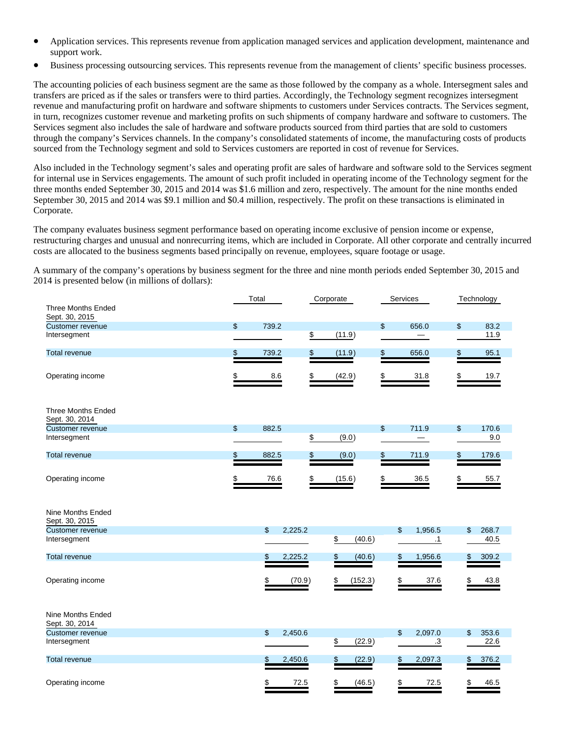- Application services. This represents revenue from application managed services and application development, maintenance and support work.
- Business processing outsourcing services. This represents revenue from the management of clients' specific business processes.

The accounting policies of each business segment are the same as those followed by the company as a whole. Intersegment sales and transfers are priced as if the sales or transfers were to third parties. Accordingly, the Technology segment recognizes intersegment revenue and manufacturing profit on hardware and software shipments to customers under Services contracts. The Services segment, in turn, recognizes customer revenue and marketing profits on such shipments of company hardware and software to customers. The Services segment also includes the sale of hardware and software products sourced from third parties that are sold to customers through the company's Services channels. In the company's consolidated statements of income, the manufacturing costs of products sourced from the Technology segment and sold to Services customers are reported in cost of revenue for Services.

Also included in the Technology segment's sales and operating profit are sales of hardware and software sold to the Services segment for internal use in Services engagements. The amount of such profit included in operating income of the Technology segment for the three months ended September 30, 2015 and 2014 was \$1.6 million and zero, respectively. The amount for the nine months ended September 30, 2015 and 2014 was \$9.1 million and \$0.4 million, respectively. The profit on these transactions is eliminated in Corporate.

The company evaluates business segment performance based on operating income exclusive of pension income or expense, restructuring charges and unusual and nonrecurring items, which are included in Corporate. All other corporate and centrally incurred costs are allocated to the business segments based principally on revenue, employees, square footage or usage.

A summary of the company's operations by business segment for the three and nine month periods ended September 30, 2015 and 2014 is presented below (in millions of dollars):

|                                             |    | Total |         | Corporate               |                | Services             | Technology  |
|---------------------------------------------|----|-------|---------|-------------------------|----------------|----------------------|-------------|
| <b>Three Months Ended</b><br>Sept. 30, 2015 |    |       |         |                         |                |                      |             |
| <b>Customer revenue</b>                     | \$ | 739.2 |         |                         | $\mathfrak{s}$ | 656.0                | \$<br>83.2  |
| Intersegment                                |    |       | \$      | (11.9)                  |                | —                    | 11.9        |
| <b>Total revenue</b>                        | \$ | 739.2 | \$      | (11.9)                  | \$             | 656.0                | \$<br>95.1  |
| Operating income                            |    | 8.6   |         | (42.9)                  |                | 31.8                 | \$<br>19.7  |
| <b>Three Months Ended</b><br>Sept. 30, 2014 |    |       |         |                         |                |                      |             |
| Customer revenue                            | \$ | 882.5 |         |                         | \$             | 711.9                | \$<br>170.6 |
| Intersegment                                |    |       | \$      | (9.0)                   |                |                      | 9.0         |
| <b>Total revenue</b>                        | S  | 882.5 | \$      | (9.0)                   | \$             | 711.9                | \$<br>179.6 |
| Operating income                            |    | 76.6  | \$      | (15.6)                  |                | 36.5                 | \$<br>55.7  |
| Nine Months Ended<br>Sept. 30, 2015         |    |       |         |                         |                |                      |             |
| <b>Customer revenue</b>                     |    | \$    | 2,225.2 |                         |                | \$<br>1,956.5        | \$<br>268.7 |
| Intersegment                                |    |       |         | \$<br>(40.6)            |                | .1                   | 40.5        |
| <b>Total revenue</b>                        |    |       | 2,225.2 | \$<br>(40.6)            |                | \$<br>1,956.6        | \$<br>309.2 |
| Operating income                            |    |       | (70.9)  | (152.3)<br>\$           |                | 37.6<br>\$           | 43.8        |
| Nine Months Ended<br>Sept. 30, 2014         |    |       |         |                         |                |                      |             |
| <b>Customer revenue</b>                     |    | \$    | 2,450.6 |                         |                | \$<br>2,097.0        | \$<br>353.6 |
| Intersegment                                |    |       |         | $\frac{1}{2}$<br>(22.9) |                | $\cdot$ <sup>3</sup> | 22.6        |
| <b>Total revenue</b>                        |    | \$    | 2,450.6 | (22.9)<br>\$            |                | 2,097.3<br>\$        | \$<br>376.2 |
| Operating income                            |    | \$    | 72.5    | \$<br>(46.5)            |                | \$<br>72.5           | \$<br>46.5  |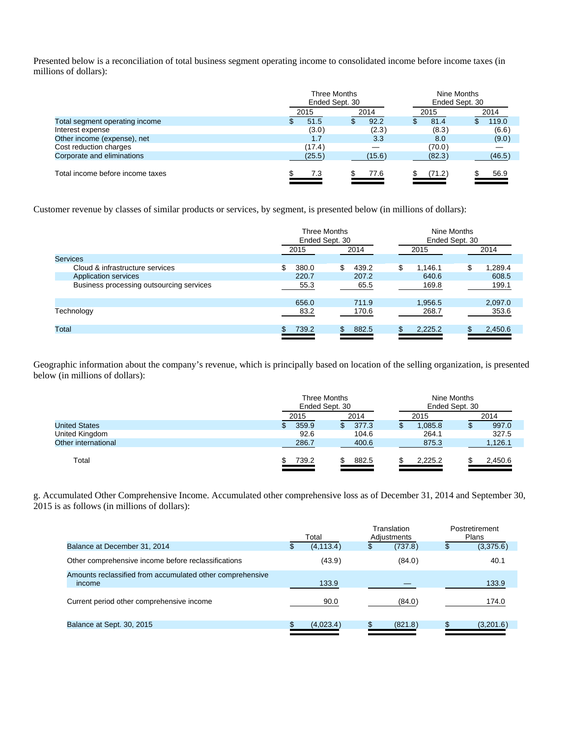Presented below is a reconciliation of total business segment operating income to consolidated income before income taxes (in millions of dollars):

|                                  | Three Months<br>Ended Sept. 30 |        | Nine Months<br>Ended Sept. 30 |  |        |
|----------------------------------|--------------------------------|--------|-------------------------------|--|--------|
|                                  | 2015                           | 2014   | 2015                          |  | 2014   |
| Total segment operating income   | 51.5                           | 92.2   | 81.4                          |  | 119.0  |
| Interest expense                 | (3.0)                          | (2.3)  | (8.3)                         |  | (6.6)  |
| Other income (expense), net      | 1.7                            | 3.3    | 8.0                           |  | (9.0)  |
| Cost reduction charges           | (17.4)                         |        | (70.0)                        |  |        |
| Corporate and eliminations       | (25.5)                         | (15.6) | (82.3)                        |  | (46.5) |
|                                  |                                |        |                               |  |        |
| Total income before income taxes | 7.3                            | 77.6   | (71.2)                        |  | 56.9   |

Customer revenue by classes of similar products or services, by segment, is presented below (in millions of dollars):

|                                          | Three Months<br>Ended Sept. 30 |             | Nine Months<br>Ended Sept. 30 |               |  |  |
|------------------------------------------|--------------------------------|-------------|-------------------------------|---------------|--|--|
|                                          | 2015                           | 2014        | 2015                          | 2014          |  |  |
| <b>Services</b>                          |                                |             |                               |               |  |  |
| Cloud & infrastructure services          | \$<br>380.0                    | \$<br>439.2 | \$<br>1.146.1                 | \$<br>1,289.4 |  |  |
| Application services                     | 220.7                          | 207.2       | 640.6                         | 608.5         |  |  |
| Business processing outsourcing services | 55.3                           | 65.5        | 169.8                         | 199.1         |  |  |
|                                          | 656.0                          | 711.9       | 1,956.5                       | 2,097.0       |  |  |
| Technology                               | 83.2                           | 170.6       | 268.7                         | 353.6         |  |  |
| Total                                    | 739.2                          | 882.5       | 2,225.2                       | 2,450.6       |  |  |

Geographic information about the company's revenue, which is principally based on location of the selling organization, is presented below (in millions of dollars):

|                      | Three Months<br>Ended Sept. 30 |              |  |       | Nine Months<br>Ended Sept. 30 |   |         |
|----------------------|--------------------------------|--------------|--|-------|-------------------------------|---|---------|
|                      |                                | 2014<br>2015 |  |       | 2014<br>2015                  |   |         |
| <b>United States</b> |                                | 359.9        |  | 377.3 | 1,085.8                       | S | 997.0   |
| United Kingdom       |                                | 92.6         |  | 104.6 | 264.1                         |   | 327.5   |
| Other international  |                                | 286.7        |  | 400.6 | 875.3                         |   | 1,126.1 |
| Total                |                                | 739.2        |  | 882.5 | 2.225.2                       |   | 2,450.6 |

g. Accumulated Other Comprehensive Income. Accumulated other comprehensive loss as of December 31, 2014 and September 30, 2015 is as follows (in millions of dollars):

|                                                                     | Total |            | Translation<br>Adjustments |         | Postretirement<br>Plans |
|---------------------------------------------------------------------|-------|------------|----------------------------|---------|-------------------------|
| Balance at December 31, 2014                                        |       | (4, 113.4) | \$                         | (737.8) | (3,375.6)               |
| Other comprehensive income before reclassifications                 |       | (43.9)     |                            | (84.0)  | 40.1                    |
| Amounts reclassified from accumulated other comprehensive<br>income |       | 133.9      |                            |         | 133.9                   |
| Current period other comprehensive income                           |       | 90.0       |                            | (84.0)  | 174.0                   |
| Balance at Sept. 30, 2015                                           |       | (4,023.4)  |                            | (821.8) | (3,201.6)               |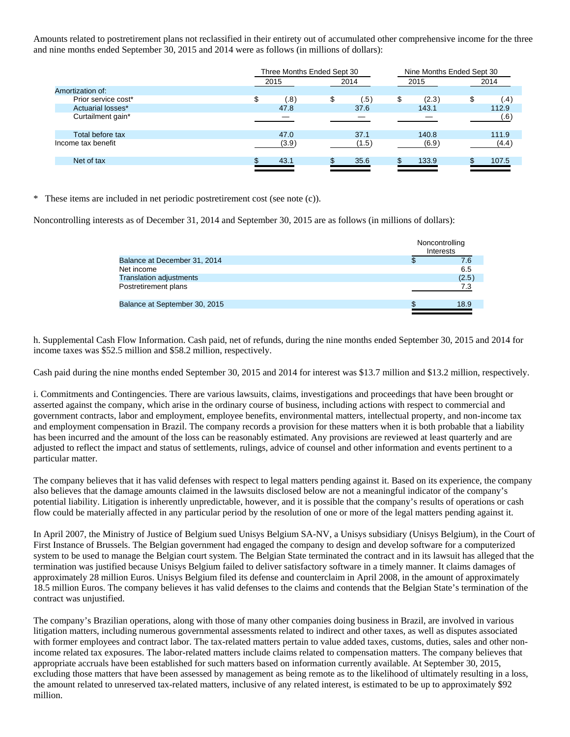Amounts related to postretirement plans not reclassified in their entirety out of accumulated other comprehensive income for the three and nine months ended September 30, 2015 and 2014 were as follows (in millions of dollars):

|                     |                              | Three Months Ended Sept 30 |             |           |  |  |  |
|---------------------|------------------------------|----------------------------|-------------|-----------|--|--|--|
|                     | 2015                         | 2014                       |             | 2014      |  |  |  |
| Amortization of:    |                              |                            |             |           |  |  |  |
| Prior service cost* | \$<br>$^{\prime}.8^{\prime}$ | \$<br>.5 <sup>2</sup>      | (2.3)<br>J. | S<br>(.4) |  |  |  |
| Actuarial losses*   | 47.8                         | 37.6                       | 143.1       | 112.9     |  |  |  |
| Curtailment gain*   |                              |                            |             | .6)       |  |  |  |
| Total before tax    | 47.0                         | 37.1                       | 140.8       | 111.9     |  |  |  |
| Income tax benefit  | (3.9)                        | (1.5)                      | (6.9)       | (4.4)     |  |  |  |
| Net of tax          | 43.1                         | 35.6                       | 133.9       | 107.5     |  |  |  |

\* These items are included in net periodic postretirement cost (see note (c)).

Noncontrolling interests as of December 31, 2014 and September 30, 2015 are as follows (in millions of dollars):

|                                | Noncontrolling<br>Interests |       |  |
|--------------------------------|-----------------------------|-------|--|
| Balance at December 31, 2014   |                             | 7.6   |  |
| Net income                     |                             | 6.5   |  |
| <b>Translation adjustments</b> |                             | (2.5) |  |
| Postretirement plans           |                             | 7.3   |  |
| Balance at September 30, 2015  |                             | 18.9  |  |

h. Supplemental Cash Flow Information. Cash paid, net of refunds, during the nine months ended September 30, 2015 and 2014 for income taxes was \$52.5 million and \$58.2 million, respectively.

Cash paid during the nine months ended September 30, 2015 and 2014 for interest was \$13.7 million and \$13.2 million, respectively.

i. Commitments and Contingencies. There are various lawsuits, claims, investigations and proceedings that have been brought or asserted against the company, which arise in the ordinary course of business, including actions with respect to commercial and government contracts, labor and employment, employee benefits, environmental matters, intellectual property, and non-income tax and employment compensation in Brazil. The company records a provision for these matters when it is both probable that a liability has been incurred and the amount of the loss can be reasonably estimated. Any provisions are reviewed at least quarterly and are adjusted to reflect the impact and status of settlements, rulings, advice of counsel and other information and events pertinent to a particular matter.

The company believes that it has valid defenses with respect to legal matters pending against it. Based on its experience, the company also believes that the damage amounts claimed in the lawsuits disclosed below are not a meaningful indicator of the company's potential liability. Litigation is inherently unpredictable, however, and it is possible that the company's results of operations or cash flow could be materially affected in any particular period by the resolution of one or more of the legal matters pending against it.

In April 2007, the Ministry of Justice of Belgium sued Unisys Belgium SA-NV, a Unisys subsidiary (Unisys Belgium), in the Court of First Instance of Brussels. The Belgian government had engaged the company to design and develop software for a computerized system to be used to manage the Belgian court system. The Belgian State terminated the contract and in its lawsuit has alleged that the termination was justified because Unisys Belgium failed to deliver satisfactory software in a timely manner. It claims damages of approximately 28 million Euros. Unisys Belgium filed its defense and counterclaim in April 2008, in the amount of approximately 18.5 million Euros. The company believes it has valid defenses to the claims and contends that the Belgian State's termination of the contract was unjustified.

The company's Brazilian operations, along with those of many other companies doing business in Brazil, are involved in various litigation matters, including numerous governmental assessments related to indirect and other taxes, as well as disputes associated with former employees and contract labor. The tax-related matters pertain to value added taxes, customs, duties, sales and other nonincome related tax exposures. The labor-related matters include claims related to compensation matters. The company believes that appropriate accruals have been established for such matters based on information currently available. At September 30, 2015, excluding those matters that have been assessed by management as being remote as to the likelihood of ultimately resulting in a loss, the amount related to unreserved tax-related matters, inclusive of any related interest, is estimated to be up to approximately \$92 million.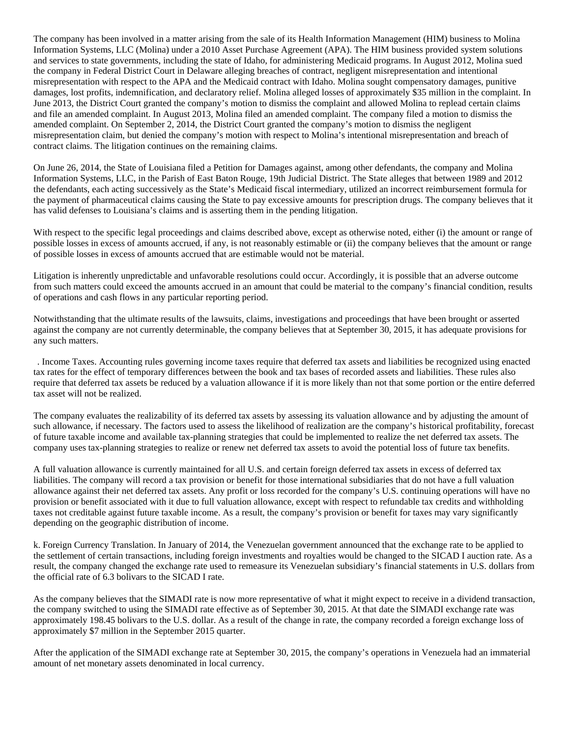The company has been involved in a matter arising from the sale of its Health Information Management (HIM) business to Molina Information Systems, LLC (Molina) under a 2010 Asset Purchase Agreement (APA). The HIM business provided system solutions and services to state governments, including the state of Idaho, for administering Medicaid programs. In August 2012, Molina sued the company in Federal District Court in Delaware alleging breaches of contract, negligent misrepresentation and intentional misrepresentation with respect to the APA and the Medicaid contract with Idaho. Molina sought compensatory damages, punitive damages, lost profits, indemnification, and declaratory relief. Molina alleged losses of approximately \$35 million in the complaint. In June 2013, the District Court granted the company's motion to dismiss the complaint and allowed Molina to replead certain claims and file an amended complaint. In August 2013, Molina filed an amended complaint. The company filed a motion to dismiss the amended complaint. On September 2, 2014, the District Court granted the company's motion to dismiss the negligent misrepresentation claim, but denied the company's motion with respect to Molina's intentional misrepresentation and breach of contract claims. The litigation continues on the remaining claims.

On June 26, 2014, the State of Louisiana filed a Petition for Damages against, among other defendants, the company and Molina Information Systems, LLC, in the Parish of East Baton Rouge, 19th Judicial District. The State alleges that between 1989 and 2012 the defendants, each acting successively as the State's Medicaid fiscal intermediary, utilized an incorrect reimbursement formula for the payment of pharmaceutical claims causing the State to pay excessive amounts for prescription drugs. The company believes that it has valid defenses to Louisiana's claims and is asserting them in the pending litigation.

With respect to the specific legal proceedings and claims described above, except as otherwise noted, either (i) the amount or range of possible losses in excess of amounts accrued, if any, is not reasonably estimable or (ii) the company believes that the amount or range of possible losses in excess of amounts accrued that are estimable would not be material.

Litigation is inherently unpredictable and unfavorable resolutions could occur. Accordingly, it is possible that an adverse outcome from such matters could exceed the amounts accrued in an amount that could be material to the company's financial condition, results of operations and cash flows in any particular reporting period.

Notwithstanding that the ultimate results of the lawsuits, claims, investigations and proceedings that have been brought or asserted against the company are not currently determinable, the company believes that at September 30, 2015, it has adequate provisions for any such matters.

 . Income Taxes. Accounting rules governing income taxes require that deferred tax assets and liabilities be recognized using enacted tax rates for the effect of temporary differences between the book and tax bases of recorded assets and liabilities. These rules also require that deferred tax assets be reduced by a valuation allowance if it is more likely than not that some portion or the entire deferred tax asset will not be realized.

The company evaluates the realizability of its deferred tax assets by assessing its valuation allowance and by adjusting the amount of such allowance, if necessary. The factors used to assess the likelihood of realization are the company's historical profitability, forecast of future taxable income and available tax-planning strategies that could be implemented to realize the net deferred tax assets. The company uses tax-planning strategies to realize or renew net deferred tax assets to avoid the potential loss of future tax benefits.

A full valuation allowance is currently maintained for all U.S. and certain foreign deferred tax assets in excess of deferred tax liabilities. The company will record a tax provision or benefit for those international subsidiaries that do not have a full valuation allowance against their net deferred tax assets. Any profit or loss recorded for the company's U.S. continuing operations will have no provision or benefit associated with it due to full valuation allowance, except with respect to refundable tax credits and withholding taxes not creditable against future taxable income. As a result, the company's provision or benefit for taxes may vary significantly depending on the geographic distribution of income.

k. Foreign Currency Translation. In January of 2014, the Venezuelan government announced that the exchange rate to be applied to the settlement of certain transactions, including foreign investments and royalties would be changed to the SICAD I auction rate. As a result, the company changed the exchange rate used to remeasure its Venezuelan subsidiary's financial statements in U.S. dollars from the official rate of 6.3 bolivars to the SICAD I rate.

As the company believes that the SIMADI rate is now more representative of what it might expect to receive in a dividend transaction, the company switched to using the SIMADI rate effective as of September 30, 2015. At that date the SIMADI exchange rate was approximately 198.45 bolivars to the U.S. dollar. As a result of the change in rate, the company recorded a foreign exchange loss of approximately \$7 million in the September 2015 quarter.

After the application of the SIMADI exchange rate at September 30, 2015, the company's operations in Venezuela had an immaterial amount of net monetary assets denominated in local currency.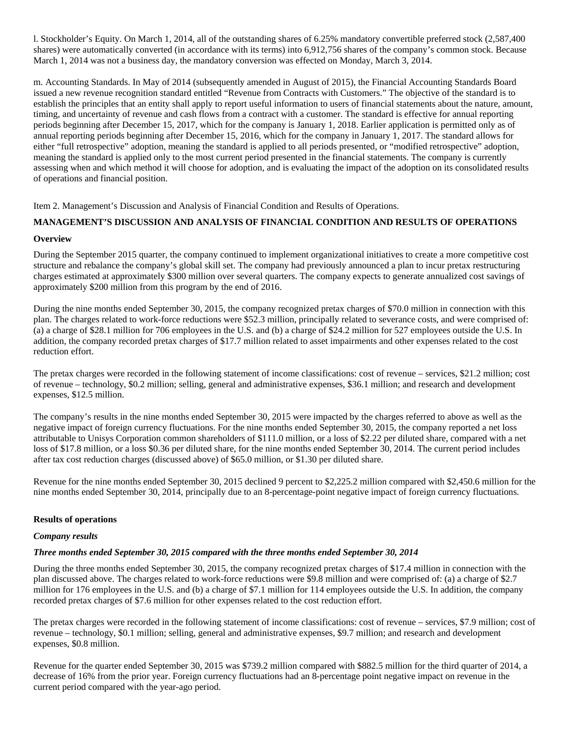l. Stockholder's Equity. On March 1, 2014, all of the outstanding shares of 6.25% mandatory convertible preferred stock (2,587,400 shares) were automatically converted (in accordance with its terms) into 6,912,756 shares of the company's common stock. Because March 1, 2014 was not a business day, the mandatory conversion was effected on Monday, March 3, 2014.

m. Accounting Standards. In May of 2014 (subsequently amended in August of 2015), the Financial Accounting Standards Board issued a new revenue recognition standard entitled "Revenue from Contracts with Customers." The objective of the standard is to establish the principles that an entity shall apply to report useful information to users of financial statements about the nature, amount, timing, and uncertainty of revenue and cash flows from a contract with a customer. The standard is effective for annual reporting periods beginning after December 15, 2017, which for the company is January 1, 2018. Earlier application is permitted only as of annual reporting periods beginning after December 15, 2016, which for the company in January 1, 2017. The standard allows for either "full retrospective" adoption, meaning the standard is applied to all periods presented, or "modified retrospective" adoption, meaning the standard is applied only to the most current period presented in the financial statements. The company is currently assessing when and which method it will choose for adoption, and is evaluating the impact of the adoption on its consolidated results of operations and financial position.

Item 2. Management's Discussion and Analysis of Financial Condition and Results of Operations.

## **MANAGEMENT'S DISCUSSION AND ANALYSIS OF FINANCIAL CONDITION AND RESULTS OF OPERATIONS**

#### **Overview**

During the September 2015 quarter, the company continued to implement organizational initiatives to create a more competitive cost structure and rebalance the company's global skill set. The company had previously announced a plan to incur pretax restructuring charges estimated at approximately \$300 million over several quarters. The company expects to generate annualized cost savings of approximately \$200 million from this program by the end of 2016.

During the nine months ended September 30, 2015, the company recognized pretax charges of \$70.0 million in connection with this plan. The charges related to work-force reductions were \$52.3 million, principally related to severance costs, and were comprised of: (a) a charge of \$28.1 million for 706 employees in the U.S. and (b) a charge of \$24.2 million for 527 employees outside the U.S. In addition, the company recorded pretax charges of \$17.7 million related to asset impairments and other expenses related to the cost reduction effort.

The pretax charges were recorded in the following statement of income classifications: cost of revenue – services, \$21.2 million; cost of revenue – technology, \$0.2 million; selling, general and administrative expenses, \$36.1 million; and research and development expenses, \$12.5 million.

The company's results in the nine months ended September 30, 2015 were impacted by the charges referred to above as well as the negative impact of foreign currency fluctuations. For the nine months ended September 30, 2015, the company reported a net loss attributable to Unisys Corporation common shareholders of \$111.0 million, or a loss of \$2.22 per diluted share, compared with a net loss of \$17.8 million, or a loss \$0.36 per diluted share, for the nine months ended September 30, 2014. The current period includes after tax cost reduction charges (discussed above) of \$65.0 million, or \$1.30 per diluted share.

Revenue for the nine months ended September 30, 2015 declined 9 percent to \$2,225.2 million compared with \$2,450.6 million for the nine months ended September 30, 2014, principally due to an 8-percentage-point negative impact of foreign currency fluctuations.

#### **Results of operations**

#### *Company results*

#### *Three months ended September 30, 2015 compared with the three months ended September 30, 2014*

During the three months ended September 30, 2015, the company recognized pretax charges of \$17.4 million in connection with the plan discussed above. The charges related to work-force reductions were \$9.8 million and were comprised of: (a) a charge of \$2.7 million for 176 employees in the U.S. and (b) a charge of \$7.1 million for 114 employees outside the U.S. In addition, the company recorded pretax charges of \$7.6 million for other expenses related to the cost reduction effort.

The pretax charges were recorded in the following statement of income classifications: cost of revenue – services, \$7.9 million; cost of revenue – technology, \$0.1 million; selling, general and administrative expenses, \$9.7 million; and research and development expenses, \$0.8 million.

Revenue for the quarter ended September 30, 2015 was \$739.2 million compared with \$882.5 million for the third quarter of 2014, a decrease of 16% from the prior year. Foreign currency fluctuations had an 8-percentage point negative impact on revenue in the current period compared with the year-ago period.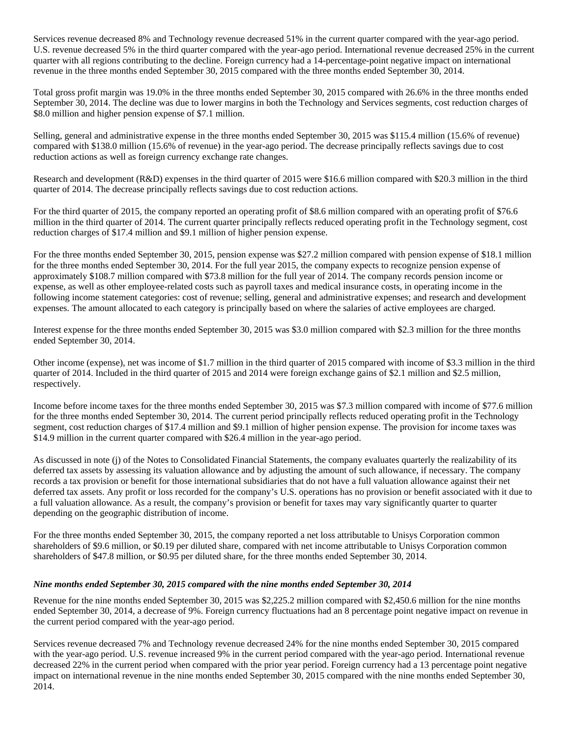Services revenue decreased 8% and Technology revenue decreased 51% in the current quarter compared with the year-ago period. U.S. revenue decreased 5% in the third quarter compared with the year-ago period. International revenue decreased 25% in the current quarter with all regions contributing to the decline. Foreign currency had a 14-percentage-point negative impact on international revenue in the three months ended September 30, 2015 compared with the three months ended September 30, 2014.

Total gross profit margin was 19.0% in the three months ended September 30, 2015 compared with 26.6% in the three months ended September 30, 2014. The decline was due to lower margins in both the Technology and Services segments, cost reduction charges of \$8.0 million and higher pension expense of \$7.1 million.

Selling, general and administrative expense in the three months ended September 30, 2015 was \$115.4 million (15.6% of revenue) compared with \$138.0 million (15.6% of revenue) in the year-ago period. The decrease principally reflects savings due to cost reduction actions as well as foreign currency exchange rate changes.

Research and development (R&D) expenses in the third quarter of 2015 were \$16.6 million compared with \$20.3 million in the third quarter of 2014. The decrease principally reflects savings due to cost reduction actions.

For the third quarter of 2015, the company reported an operating profit of \$8.6 million compared with an operating profit of \$76.6 million in the third quarter of 2014. The current quarter principally reflects reduced operating profit in the Technology segment, cost reduction charges of \$17.4 million and \$9.1 million of higher pension expense.

For the three months ended September 30, 2015, pension expense was \$27.2 million compared with pension expense of \$18.1 million for the three months ended September 30, 2014. For the full year 2015, the company expects to recognize pension expense of approximately \$108.7 million compared with \$73.8 million for the full year of 2014. The company records pension income or expense, as well as other employee-related costs such as payroll taxes and medical insurance costs, in operating income in the following income statement categories: cost of revenue; selling, general and administrative expenses; and research and development expenses. The amount allocated to each category is principally based on where the salaries of active employees are charged.

Interest expense for the three months ended September 30, 2015 was \$3.0 million compared with \$2.3 million for the three months ended September 30, 2014.

Other income (expense), net was income of \$1.7 million in the third quarter of 2015 compared with income of \$3.3 million in the third quarter of 2014. Included in the third quarter of 2015 and 2014 were foreign exchange gains of \$2.1 million and \$2.5 million, respectively.

Income before income taxes for the three months ended September 30, 2015 was \$7.3 million compared with income of \$77.6 million for the three months ended September 30, 2014. The current period principally reflects reduced operating profit in the Technology segment, cost reduction charges of \$17.4 million and \$9.1 million of higher pension expense. The provision for income taxes was \$14.9 million in the current quarter compared with \$26.4 million in the year-ago period.

As discussed in note (j) of the Notes to Consolidated Financial Statements, the company evaluates quarterly the realizability of its deferred tax assets by assessing its valuation allowance and by adjusting the amount of such allowance, if necessary. The company records a tax provision or benefit for those international subsidiaries that do not have a full valuation allowance against their net deferred tax assets. Any profit or loss recorded for the company's U.S. operations has no provision or benefit associated with it due to a full valuation allowance. As a result, the company's provision or benefit for taxes may vary significantly quarter to quarter depending on the geographic distribution of income.

For the three months ended September 30, 2015, the company reported a net loss attributable to Unisys Corporation common shareholders of \$9.6 million, or \$0.19 per diluted share, compared with net income attributable to Unisys Corporation common shareholders of \$47.8 million, or \$0.95 per diluted share, for the three months ended September 30, 2014.

#### *Nine months ended September 30, 2015 compared with the nine months ended September 30, 2014*

Revenue for the nine months ended September 30, 2015 was \$2,225.2 million compared with \$2,450.6 million for the nine months ended September 30, 2014, a decrease of 9%. Foreign currency fluctuations had an 8 percentage point negative impact on revenue in the current period compared with the year-ago period.

Services revenue decreased 7% and Technology revenue decreased 24% for the nine months ended September 30, 2015 compared with the year-ago period. U.S. revenue increased 9% in the current period compared with the year-ago period. International revenue decreased 22% in the current period when compared with the prior year period. Foreign currency had a 13 percentage point negative impact on international revenue in the nine months ended September 30, 2015 compared with the nine months ended September 30, 2014.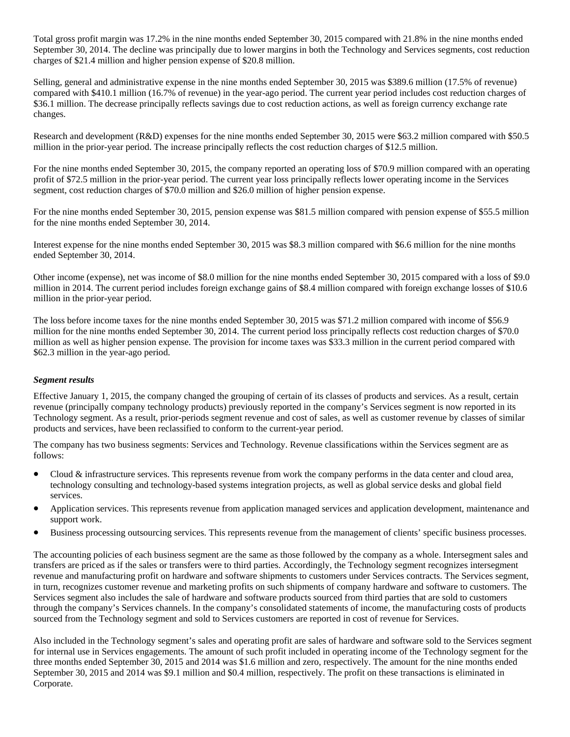Total gross profit margin was 17.2% in the nine months ended September 30, 2015 compared with 21.8% in the nine months ended September 30, 2014. The decline was principally due to lower margins in both the Technology and Services segments, cost reduction charges of \$21.4 million and higher pension expense of \$20.8 million.

Selling, general and administrative expense in the nine months ended September 30, 2015 was \$389.6 million (17.5% of revenue) compared with \$410.1 million (16.7% of revenue) in the year-ago period. The current year period includes cost reduction charges of \$36.1 million. The decrease principally reflects savings due to cost reduction actions, as well as foreign currency exchange rate changes.

Research and development (R&D) expenses for the nine months ended September 30, 2015 were \$63.2 million compared with \$50.5 million in the prior-year period. The increase principally reflects the cost reduction charges of \$12.5 million.

For the nine months ended September 30, 2015, the company reported an operating loss of \$70.9 million compared with an operating profit of \$72.5 million in the prior-year period. The current year loss principally reflects lower operating income in the Services segment, cost reduction charges of \$70.0 million and \$26.0 million of higher pension expense.

For the nine months ended September 30, 2015, pension expense was \$81.5 million compared with pension expense of \$55.5 million for the nine months ended September 30, 2014.

Interest expense for the nine months ended September 30, 2015 was \$8.3 million compared with \$6.6 million for the nine months ended September 30, 2014.

Other income (expense), net was income of \$8.0 million for the nine months ended September 30, 2015 compared with a loss of \$9.0 million in 2014. The current period includes foreign exchange gains of \$8.4 million compared with foreign exchange losses of \$10.6 million in the prior-year period.

The loss before income taxes for the nine months ended September 30, 2015 was \$71.2 million compared with income of \$56.9 million for the nine months ended September 30, 2014. The current period loss principally reflects cost reduction charges of \$70.0 million as well as higher pension expense. The provision for income taxes was \$33.3 million in the current period compared with \$62.3 million in the year-ago period.

#### *Segment results*

Effective January 1, 2015, the company changed the grouping of certain of its classes of products and services. As a result, certain revenue (principally company technology products) previously reported in the company's Services segment is now reported in its Technology segment. As a result, prior-periods segment revenue and cost of sales, as well as customer revenue by classes of similar products and services, have been reclassified to conform to the current-year period.

The company has two business segments: Services and Technology. Revenue classifications within the Services segment are as follows:

- Cloud  $\&$  infrastructure services. This represents revenue from work the company performs in the data center and cloud area, technology consulting and technology-based systems integration projects, as well as global service desks and global field services.
- Application services. This represents revenue from application managed services and application development, maintenance and support work.
- Business processing outsourcing services. This represents revenue from the management of clients' specific business processes.

The accounting policies of each business segment are the same as those followed by the company as a whole. Intersegment sales and transfers are priced as if the sales or transfers were to third parties. Accordingly, the Technology segment recognizes intersegment revenue and manufacturing profit on hardware and software shipments to customers under Services contracts. The Services segment, in turn, recognizes customer revenue and marketing profits on such shipments of company hardware and software to customers. The Services segment also includes the sale of hardware and software products sourced from third parties that are sold to customers through the company's Services channels. In the company's consolidated statements of income, the manufacturing costs of products sourced from the Technology segment and sold to Services customers are reported in cost of revenue for Services.

Also included in the Technology segment's sales and operating profit are sales of hardware and software sold to the Services segment for internal use in Services engagements. The amount of such profit included in operating income of the Technology segment for the three months ended September 30, 2015 and 2014 was \$1.6 million and zero, respectively. The amount for the nine months ended September 30, 2015 and 2014 was \$9.1 million and \$0.4 million, respectively. The profit on these transactions is eliminated in Corporate.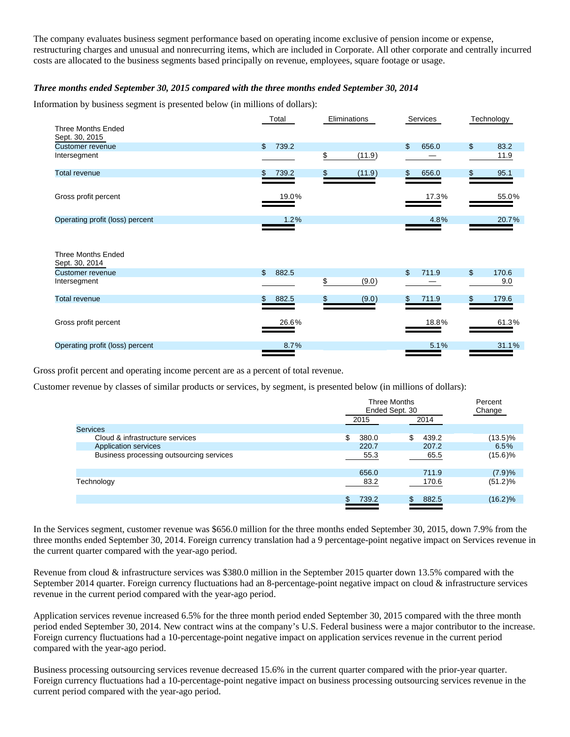The company evaluates business segment performance based on operating income exclusive of pension income or expense, restructuring charges and unusual and nonrecurring items, which are included in Corporate. All other corporate and centrally incurred costs are allocated to the business segments based principally on revenue, employees, square footage or usage.

#### *Three months ended September 30, 2015 compared with the three months ended September 30, 2014*

| Information by business segment is presented below (in millions of dollars): |                |       |              |             |                |            |
|------------------------------------------------------------------------------|----------------|-------|--------------|-------------|----------------|------------|
| <b>Three Months Ended</b><br>Sept. 30, 2015                                  |                | Total | Eliminations | Services    |                | Technology |
| Customer revenue                                                             | $\mathfrak{L}$ | 739.2 |              | \$<br>656.0 | $\mathfrak{S}$ | 83.2       |
| Intersegment                                                                 |                |       | \$<br>(11.9) |             |                | 11.9       |
| <b>Total revenue</b>                                                         | \$             | 739.2 | \$<br>(11.9) | \$<br>656.0 | S              | 95.1       |
| Gross profit percent                                                         |                | 19.0% |              | 17.3%       |                | 55.0%      |
| Operating profit (loss) percent                                              |                | 1.2%  |              | 4.8%        |                | 20.7%      |
| <b>Three Months Ended</b><br>Sept. 30, 2014                                  |                |       |              |             |                |            |
| <b>Customer revenue</b>                                                      | $\mathbb{S}$   | 882.5 |              | \$<br>711.9 | $\mathfrak{L}$ | 170.6      |
| Intersegment                                                                 |                |       | \$<br>(9.0)  |             |                | 9.0        |
| <b>Total revenue</b>                                                         | \$             | 882.5 | (9.0)        | 711.9       | \$.            | 179.6      |
| Gross profit percent                                                         |                | 26.6% |              | 18.8%       |                | 61.3%      |
| Operating profit (loss) percent                                              |                | 8.7%  |              | 5.1%        |                | 31.1%      |

Gross profit percent and operating income percent are as a percent of total revenue.

Customer revenue by classes of similar products or services, by segment, is presented below (in millions of dollars):

|                                          | Three Months<br>Ended Sept. 30 |             | Percent<br>Change |
|------------------------------------------|--------------------------------|-------------|-------------------|
|                                          | 2015                           | 2014        |                   |
| <b>Services</b>                          |                                |             |                   |
| Cloud & infrastructure services          | \$<br>380.0                    | \$<br>439.2 | $(13.5)\%$        |
| Application services                     | 220.7                          | 207.2       | 6.5%              |
| Business processing outsourcing services | 55.3                           | 65.5        | $(15.6)\%$        |
|                                          | 656.0                          | 711.9       | (7.9)%            |
| Technology                               | 83.2                           | 170.6       | $(51.2)\%$        |
|                                          | 739.2                          | 882.5       | $(16.2)\%$        |

In the Services segment, customer revenue was \$656.0 million for the three months ended September 30, 2015, down 7.9% from the three months ended September 30, 2014. Foreign currency translation had a 9 percentage-point negative impact on Services revenue in the current quarter compared with the year-ago period.

Revenue from cloud & infrastructure services was \$380.0 million in the September 2015 quarter down 13.5% compared with the September 2014 quarter. Foreign currency fluctuations had an 8-percentage-point negative impact on cloud & infrastructure services revenue in the current period compared with the year-ago period.

Application services revenue increased 6.5% for the three month period ended September 30, 2015 compared with the three month period ended September 30, 2014. New contract wins at the company's U.S. Federal business were a major contributor to the increase. Foreign currency fluctuations had a 10-percentage-point negative impact on application services revenue in the current period compared with the year-ago period.

Business processing outsourcing services revenue decreased 15.6% in the current quarter compared with the prior-year quarter. Foreign currency fluctuations had a 10-percentage-point negative impact on business processing outsourcing services revenue in the current period compared with the year-ago period.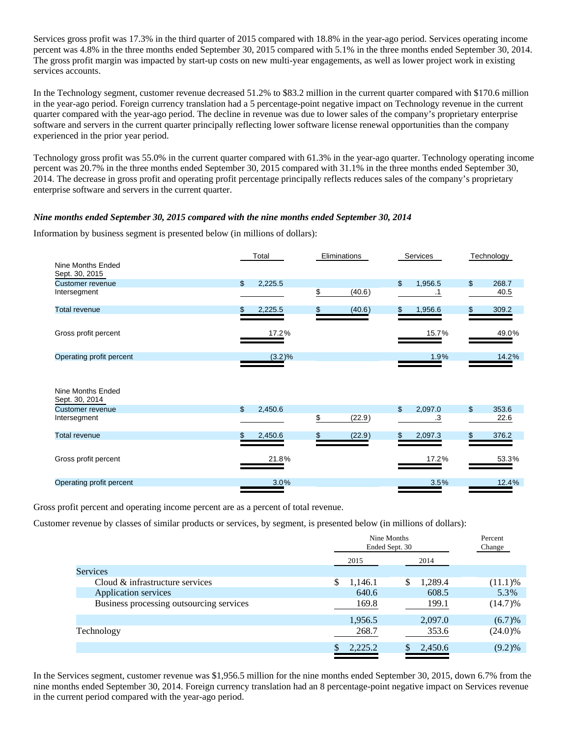Services gross profit was 17.3% in the third quarter of 2015 compared with 18.8% in the year-ago period. Services operating income percent was 4.8% in the three months ended September 30, 2015 compared with 5.1% in the three months ended September 30, 2014. The gross profit margin was impacted by start-up costs on new multi-year engagements, as well as lower project work in existing services accounts.

In the Technology segment, customer revenue decreased 51.2% to \$83.2 million in the current quarter compared with \$170.6 million in the year-ago period. Foreign currency translation had a 5 percentage-point negative impact on Technology revenue in the current quarter compared with the year-ago period. The decline in revenue was due to lower sales of the company's proprietary enterprise software and servers in the current quarter principally reflecting lower software license renewal opportunities than the company experienced in the prior year period.

Technology gross profit was 55.0% in the current quarter compared with 61.3% in the year-ago quarter. Technology operating income percent was 20.7% in the three months ended September 30, 2015 compared with 31.1% in the three months ended September 30, 2014. The decrease in gross profit and operating profit percentage principally reflects reduces sales of the company's proprietary enterprise software and servers in the current quarter.

#### *Nine months ended September 30, 2015 compared with the nine months ended September 30, 2014*

Information by business segment is presented below (in millions of dollars):

| Nine Months Ended<br>Sept. 30, 2015<br>\$<br>2,225.5<br>1,956.5<br>\$<br>\$<br>268.7<br>Customer revenue<br>\$<br>(40.6)<br>40.5<br>Intersegment<br>$\cdot$ 1<br><b>Total revenue</b><br>2,225.5<br>\$<br>(40.6)<br>1,956.6<br>309.2<br>\$<br>\$<br>Gross profit percent<br>17.2%<br>15.7%<br>49.0%<br>Operating profit percent<br>$(3.2)\%$<br>1.9%<br>14.2%<br>Nine Months Ended<br>Sept. 30, 2014<br>\$<br>2,450.6<br>\$<br>2,097.0<br>\$<br>353.6<br>Customer revenue<br>\$<br>(22.9)<br>22.6<br>.3<br>Intersegment<br><b>Total revenue</b><br>2,450.6<br>376.2<br>(22.9)<br>2,097.3<br>17.2%<br>Gross profit percent<br>21.8%<br>53.3% |                          | Total | Eliminations |  | Services | Technology |
|---------------------------------------------------------------------------------------------------------------------------------------------------------------------------------------------------------------------------------------------------------------------------------------------------------------------------------------------------------------------------------------------------------------------------------------------------------------------------------------------------------------------------------------------------------------------------------------------------------------------------------------------|--------------------------|-------|--------------|--|----------|------------|
|                                                                                                                                                                                                                                                                                                                                                                                                                                                                                                                                                                                                                                             |                          |       |              |  |          |            |
|                                                                                                                                                                                                                                                                                                                                                                                                                                                                                                                                                                                                                                             |                          |       |              |  |          |            |
|                                                                                                                                                                                                                                                                                                                                                                                                                                                                                                                                                                                                                                             |                          |       |              |  |          |            |
|                                                                                                                                                                                                                                                                                                                                                                                                                                                                                                                                                                                                                                             |                          |       |              |  |          |            |
|                                                                                                                                                                                                                                                                                                                                                                                                                                                                                                                                                                                                                                             |                          |       |              |  |          |            |
|                                                                                                                                                                                                                                                                                                                                                                                                                                                                                                                                                                                                                                             |                          |       |              |  |          |            |
|                                                                                                                                                                                                                                                                                                                                                                                                                                                                                                                                                                                                                                             |                          |       |              |  |          |            |
|                                                                                                                                                                                                                                                                                                                                                                                                                                                                                                                                                                                                                                             |                          |       |              |  |          |            |
|                                                                                                                                                                                                                                                                                                                                                                                                                                                                                                                                                                                                                                             |                          |       |              |  |          |            |
|                                                                                                                                                                                                                                                                                                                                                                                                                                                                                                                                                                                                                                             |                          |       |              |  |          |            |
|                                                                                                                                                                                                                                                                                                                                                                                                                                                                                                                                                                                                                                             |                          |       |              |  |          |            |
|                                                                                                                                                                                                                                                                                                                                                                                                                                                                                                                                                                                                                                             |                          |       |              |  |          |            |
|                                                                                                                                                                                                                                                                                                                                                                                                                                                                                                                                                                                                                                             | Operating profit percent | 3.0%  |              |  | 3.5%     | 12.4%      |

Gross profit percent and operating income percent are as a percent of total revenue.

Customer revenue by classes of similar products or services, by segment, is presented below (in millions of dollars):

|                                          |               | Nine Months<br>Ended Sept. 30 |            |  |  |  |  |
|------------------------------------------|---------------|-------------------------------|------------|--|--|--|--|
|                                          | 2015          | 2014                          |            |  |  |  |  |
| <b>Services</b>                          |               |                               |            |  |  |  |  |
| Cloud & infrastructure services          | \$<br>1,146.1 | 1,289.4<br>\$                 | $(11.1)$ % |  |  |  |  |
| Application services                     | 640.6         | 608.5                         | 5.3%       |  |  |  |  |
| Business processing outsourcing services | 169.8         | 199.1                         | (14.7)%    |  |  |  |  |
|                                          | 1,956.5       | 2,097.0                       | (6.7)%     |  |  |  |  |
| Technology                               | 268.7         | 353.6                         | $(24.0)\%$ |  |  |  |  |
|                                          | 2,225.2       | 2,450.6                       | $(9.2)\%$  |  |  |  |  |

In the Services segment, customer revenue was \$1,956.5 million for the nine months ended September 30, 2015, down 6.7% from the nine months ended September 30, 2014. Foreign currency translation had an 8 percentage-point negative impact on Services revenue in the current period compared with the year-ago period.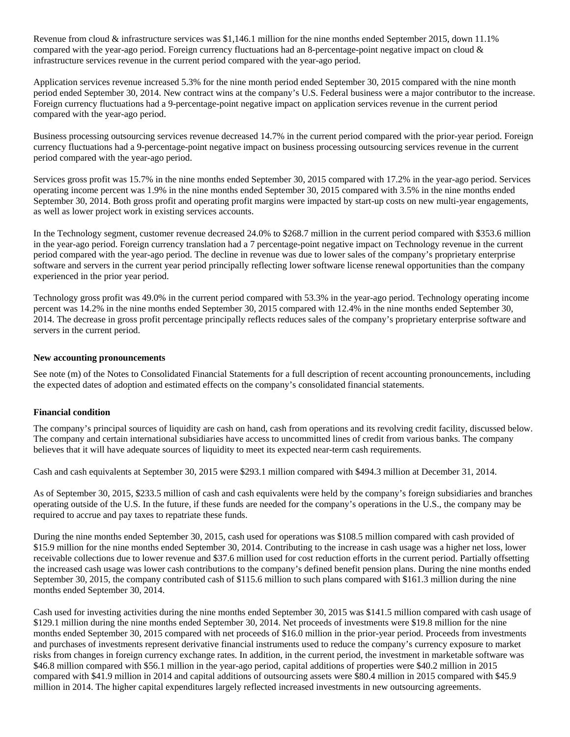Revenue from cloud & infrastructure services was \$1,146.1 million for the nine months ended September 2015, down 11.1% compared with the year-ago period. Foreign currency fluctuations had an 8-percentage-point negative impact on cloud & infrastructure services revenue in the current period compared with the year-ago period.

Application services revenue increased 5.3% for the nine month period ended September 30, 2015 compared with the nine month period ended September 30, 2014. New contract wins at the company's U.S. Federal business were a major contributor to the increase. Foreign currency fluctuations had a 9-percentage-point negative impact on application services revenue in the current period compared with the year-ago period.

Business processing outsourcing services revenue decreased 14.7% in the current period compared with the prior-year period. Foreign currency fluctuations had a 9-percentage-point negative impact on business processing outsourcing services revenue in the current period compared with the year-ago period.

Services gross profit was 15.7% in the nine months ended September 30, 2015 compared with 17.2% in the year-ago period. Services operating income percent was 1.9% in the nine months ended September 30, 2015 compared with 3.5% in the nine months ended September 30, 2014. Both gross profit and operating profit margins were impacted by start-up costs on new multi-year engagements, as well as lower project work in existing services accounts.

In the Technology segment, customer revenue decreased 24.0% to \$268.7 million in the current period compared with \$353.6 million in the year-ago period. Foreign currency translation had a 7 percentage-point negative impact on Technology revenue in the current period compared with the year-ago period. The decline in revenue was due to lower sales of the company's proprietary enterprise software and servers in the current year period principally reflecting lower software license renewal opportunities than the company experienced in the prior year period.

Technology gross profit was 49.0% in the current period compared with 53.3% in the year-ago period. Technology operating income percent was 14.2% in the nine months ended September 30, 2015 compared with 12.4% in the nine months ended September 30, 2014. The decrease in gross profit percentage principally reflects reduces sales of the company's proprietary enterprise software and servers in the current period.

#### **New accounting pronouncements**

See note (m) of the Notes to Consolidated Financial Statements for a full description of recent accounting pronouncements, including the expected dates of adoption and estimated effects on the company's consolidated financial statements.

#### **Financial condition**

The company's principal sources of liquidity are cash on hand, cash from operations and its revolving credit facility, discussed below. The company and certain international subsidiaries have access to uncommitted lines of credit from various banks. The company believes that it will have adequate sources of liquidity to meet its expected near-term cash requirements.

Cash and cash equivalents at September 30, 2015 were \$293.1 million compared with \$494.3 million at December 31, 2014.

As of September 30, 2015, \$233.5 million of cash and cash equivalents were held by the company's foreign subsidiaries and branches operating outside of the U.S. In the future, if these funds are needed for the company's operations in the U.S., the company may be required to accrue and pay taxes to repatriate these funds.

During the nine months ended September 30, 2015, cash used for operations was \$108.5 million compared with cash provided of \$15.9 million for the nine months ended September 30, 2014. Contributing to the increase in cash usage was a higher net loss, lower receivable collections due to lower revenue and \$37.6 million used for cost reduction efforts in the current period. Partially offsetting the increased cash usage was lower cash contributions to the company's defined benefit pension plans. During the nine months ended September 30, 2015, the company contributed cash of \$115.6 million to such plans compared with \$161.3 million during the nine months ended September 30, 2014.

Cash used for investing activities during the nine months ended September 30, 2015 was \$141.5 million compared with cash usage of \$129.1 million during the nine months ended September 30, 2014. Net proceeds of investments were \$19.8 million for the nine months ended September 30, 2015 compared with net proceeds of \$16.0 million in the prior-year period. Proceeds from investments and purchases of investments represent derivative financial instruments used to reduce the company's currency exposure to market risks from changes in foreign currency exchange rates. In addition, in the current period, the investment in marketable software was \$46.8 million compared with \$56.1 million in the year-ago period, capital additions of properties were \$40.2 million in 2015 compared with \$41.9 million in 2014 and capital additions of outsourcing assets were \$80.4 million in 2015 compared with \$45.9 million in 2014. The higher capital expenditures largely reflected increased investments in new outsourcing agreements.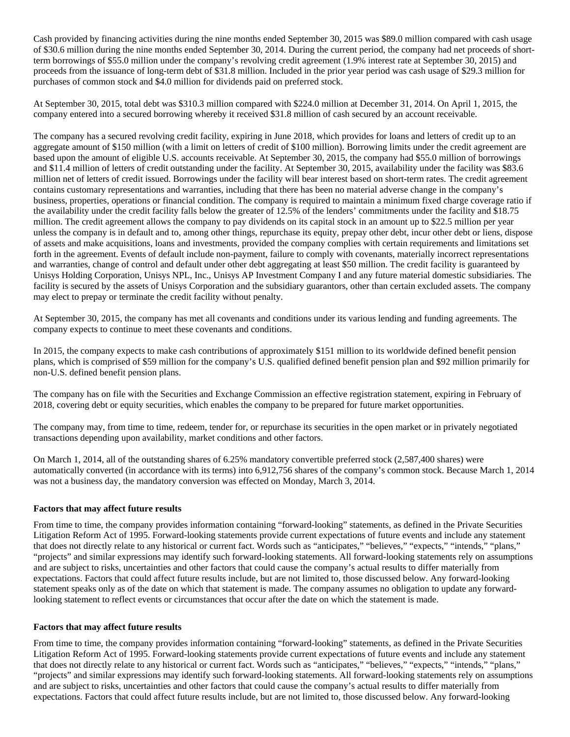Cash provided by financing activities during the nine months ended September 30, 2015 was \$89.0 million compared with cash usage of \$30.6 million during the nine months ended September 30, 2014. During the current period, the company had net proceeds of shortterm borrowings of \$55.0 million under the company's revolving credit agreement (1.9% interest rate at September 30, 2015) and proceeds from the issuance of long-term debt of \$31.8 million. Included in the prior year period was cash usage of \$29.3 million for purchases of common stock and \$4.0 million for dividends paid on preferred stock.

At September 30, 2015, total debt was \$310.3 million compared with \$224.0 million at December 31, 2014. On April 1, 2015, the company entered into a secured borrowing whereby it received \$31.8 million of cash secured by an account receivable.

The company has a secured revolving credit facility, expiring in June 2018, which provides for loans and letters of credit up to an aggregate amount of \$150 million (with a limit on letters of credit of \$100 million). Borrowing limits under the credit agreement are based upon the amount of eligible U.S. accounts receivable. At September 30, 2015, the company had \$55.0 million of borrowings and \$11.4 million of letters of credit outstanding under the facility. At September 30, 2015, availability under the facility was \$83.6 million net of letters of credit issued. Borrowings under the facility will bear interest based on short-term rates. The credit agreement contains customary representations and warranties, including that there has been no material adverse change in the company's business, properties, operations or financial condition. The company is required to maintain a minimum fixed charge coverage ratio if the availability under the credit facility falls below the greater of 12.5% of the lenders' commitments under the facility and \$18.75 million. The credit agreement allows the company to pay dividends on its capital stock in an amount up to \$22.5 million per year unless the company is in default and to, among other things, repurchase its equity, prepay other debt, incur other debt or liens, dispose of assets and make acquisitions, loans and investments, provided the company complies with certain requirements and limitations set forth in the agreement. Events of default include non-payment, failure to comply with covenants, materially incorrect representations and warranties, change of control and default under other debt aggregating at least \$50 million. The credit facility is guaranteed by Unisys Holding Corporation, Unisys NPL, Inc., Unisys AP Investment Company I and any future material domestic subsidiaries. The facility is secured by the assets of Unisys Corporation and the subsidiary guarantors, other than certain excluded assets. The company may elect to prepay or terminate the credit facility without penalty.

At September 30, 2015, the company has met all covenants and conditions under its various lending and funding agreements. The company expects to continue to meet these covenants and conditions.

In 2015, the company expects to make cash contributions of approximately \$151 million to its worldwide defined benefit pension plans, which is comprised of \$59 million for the company's U.S. qualified defined benefit pension plan and \$92 million primarily for non-U.S. defined benefit pension plans.

The company has on file with the Securities and Exchange Commission an effective registration statement, expiring in February of 2018, covering debt or equity securities, which enables the company to be prepared for future market opportunities.

The company may, from time to time, redeem, tender for, or repurchase its securities in the open market or in privately negotiated transactions depending upon availability, market conditions and other factors.

On March 1, 2014, all of the outstanding shares of 6.25% mandatory convertible preferred stock (2,587,400 shares) were automatically converted (in accordance with its terms) into 6,912,756 shares of the company's common stock. Because March 1, 2014 was not a business day, the mandatory conversion was effected on Monday, March 3, 2014.

#### **Factors that may affect future results**

From time to time, the company provides information containing "forward-looking" statements, as defined in the Private Securities Litigation Reform Act of 1995. Forward-looking statements provide current expectations of future events and include any statement that does not directly relate to any historical or current fact. Words such as "anticipates," "believes," "expects," "intends," "plans," "projects" and similar expressions may identify such forward-looking statements. All forward-looking statements rely on assumptions and are subject to risks, uncertainties and other factors that could cause the company's actual results to differ materially from expectations. Factors that could affect future results include, but are not limited to, those discussed below. Any forward-looking statement speaks only as of the date on which that statement is made. The company assumes no obligation to update any forwardlooking statement to reflect events or circumstances that occur after the date on which the statement is made.

#### **Factors that may affect future results**

From time to time, the company provides information containing "forward-looking" statements, as defined in the Private Securities Litigation Reform Act of 1995. Forward-looking statements provide current expectations of future events and include any statement that does not directly relate to any historical or current fact. Words such as "anticipates," "believes," "expects," "intends," "plans," "projects" and similar expressions may identify such forward-looking statements. All forward-looking statements rely on assumptions and are subject to risks, uncertainties and other factors that could cause the company's actual results to differ materially from expectations. Factors that could affect future results include, but are not limited to, those discussed below. Any forward-looking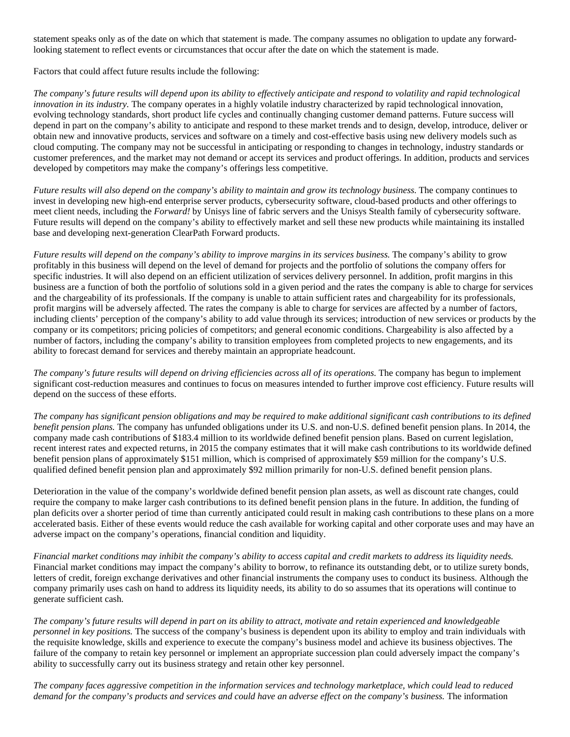statement speaks only as of the date on which that statement is made. The company assumes no obligation to update any forwardlooking statement to reflect events or circumstances that occur after the date on which the statement is made.

Factors that could affect future results include the following:

*The company's future results will depend upon its ability to effectively anticipate and respond to volatility and rapid technological innovation in its industry*. The company operates in a highly volatile industry characterized by rapid technological innovation, evolving technology standards, short product life cycles and continually changing customer demand patterns. Future success will depend in part on the company's ability to anticipate and respond to these market trends and to design, develop, introduce, deliver or obtain new and innovative products, services and software on a timely and cost-effective basis using new delivery models such as cloud computing. The company may not be successful in anticipating or responding to changes in technology, industry standards or customer preferences, and the market may not demand or accept its services and product offerings. In addition, products and services developed by competitors may make the company's offerings less competitive.

*Future results will also depend on the company's ability to maintain and grow its technology business.* The company continues to invest in developing new high-end enterprise server products, cybersecurity software, cloud-based products and other offerings to meet client needs, including the *Forward!* by Unisys line of fabric servers and the Unisys Stealth family of cybersecurity software. Future results will depend on the company's ability to effectively market and sell these new products while maintaining its installed base and developing next-generation ClearPath Forward products.

*Future results will depend on the company's ability to improve margins in its services business.* The company's ability to grow profitably in this business will depend on the level of demand for projects and the portfolio of solutions the company offers for specific industries. It will also depend on an efficient utilization of services delivery personnel. In addition, profit margins in this business are a function of both the portfolio of solutions sold in a given period and the rates the company is able to charge for services and the chargeability of its professionals. If the company is unable to attain sufficient rates and chargeability for its professionals, profit margins will be adversely affected. The rates the company is able to charge for services are affected by a number of factors, including clients' perception of the company's ability to add value through its services; introduction of new services or products by the company or its competitors; pricing policies of competitors; and general economic conditions. Chargeability is also affected by a number of factors, including the company's ability to transition employees from completed projects to new engagements, and its ability to forecast demand for services and thereby maintain an appropriate headcount.

*The company's future results will depend on driving efficiencies across all of its operations.* The company has begun to implement significant cost-reduction measures and continues to focus on measures intended to further improve cost efficiency. Future results will depend on the success of these efforts.

*The company has significant pension obligations and may be required to make additional significant cash contributions to its defined benefit pension plans.* The company has unfunded obligations under its U.S. and non-U.S. defined benefit pension plans. In 2014, the company made cash contributions of \$183.4 million to its worldwide defined benefit pension plans. Based on current legislation, recent interest rates and expected returns, in 2015 the company estimates that it will make cash contributions to its worldwide defined benefit pension plans of approximately \$151 million, which is comprised of approximately \$59 million for the company's U.S. qualified defined benefit pension plan and approximately \$92 million primarily for non-U.S. defined benefit pension plans.

Deterioration in the value of the company's worldwide defined benefit pension plan assets, as well as discount rate changes, could require the company to make larger cash contributions to its defined benefit pension plans in the future. In addition, the funding of plan deficits over a shorter period of time than currently anticipated could result in making cash contributions to these plans on a more accelerated basis. Either of these events would reduce the cash available for working capital and other corporate uses and may have an adverse impact on the company's operations, financial condition and liquidity.

*Financial market conditions may inhibit the company's ability to access capital and credit markets to address its liquidity needs.* Financial market conditions may impact the company's ability to borrow, to refinance its outstanding debt, or to utilize surety bonds, letters of credit, foreign exchange derivatives and other financial instruments the company uses to conduct its business. Although the company primarily uses cash on hand to address its liquidity needs, its ability to do so assumes that its operations will continue to generate sufficient cash.

*The company's future results will depend in part on its ability to attract, motivate and retain experienced and knowledgeable personnel in key positions.* The success of the company's business is dependent upon its ability to employ and train individuals with the requisite knowledge, skills and experience to execute the company's business model and achieve its business objectives. The failure of the company to retain key personnel or implement an appropriate succession plan could adversely impact the company's ability to successfully carry out its business strategy and retain other key personnel.

*The company faces aggressive competition in the information services and technology marketplace, which could lead to reduced demand for the company's products and services and could have an adverse effect on the company's business.* The information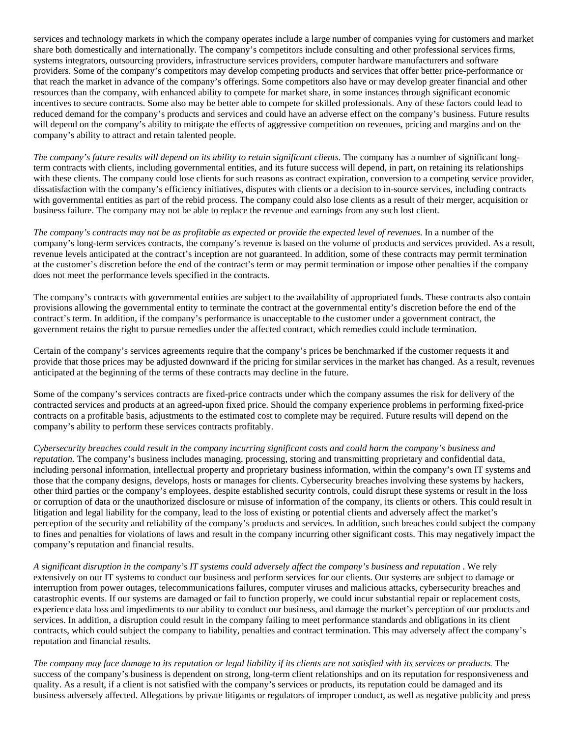services and technology markets in which the company operates include a large number of companies vying for customers and market share both domestically and internationally. The company's competitors include consulting and other professional services firms, systems integrators, outsourcing providers, infrastructure services providers, computer hardware manufacturers and software providers. Some of the company's competitors may develop competing products and services that offer better price-performance or that reach the market in advance of the company's offerings. Some competitors also have or may develop greater financial and other resources than the company, with enhanced ability to compete for market share, in some instances through significant economic incentives to secure contracts. Some also may be better able to compete for skilled professionals. Any of these factors could lead to reduced demand for the company's products and services and could have an adverse effect on the company's business. Future results will depend on the company's ability to mitigate the effects of aggressive competition on revenues, pricing and margins and on the company's ability to attract and retain talented people.

*The company's future results will depend on its ability to retain significant clients.* The company has a number of significant longterm contracts with clients, including governmental entities, and its future success will depend, in part, on retaining its relationships with these clients. The company could lose clients for such reasons as contract expiration, conversion to a competing service provider, dissatisfaction with the company's efficiency initiatives, disputes with clients or a decision to in-source services, including contracts with governmental entities as part of the rebid process. The company could also lose clients as a result of their merger, acquisition or business failure. The company may not be able to replace the revenue and earnings from any such lost client.

*The company's contracts may not be as profitable as expected or provide the expected level of revenues*. In a number of the company's long-term services contracts, the company's revenue is based on the volume of products and services provided. As a result, revenue levels anticipated at the contract's inception are not guaranteed. In addition, some of these contracts may permit termination at the customer's discretion before the end of the contract's term or may permit termination or impose other penalties if the company does not meet the performance levels specified in the contracts.

The company's contracts with governmental entities are subject to the availability of appropriated funds. These contracts also contain provisions allowing the governmental entity to terminate the contract at the governmental entity's discretion before the end of the contract's term. In addition, if the company's performance is unacceptable to the customer under a government contract, the government retains the right to pursue remedies under the affected contract, which remedies could include termination.

Certain of the company's services agreements require that the company's prices be benchmarked if the customer requests it and provide that those prices may be adjusted downward if the pricing for similar services in the market has changed. As a result, revenues anticipated at the beginning of the terms of these contracts may decline in the future.

Some of the company's services contracts are fixed-price contracts under which the company assumes the risk for delivery of the contracted services and products at an agreed-upon fixed price. Should the company experience problems in performing fixed-price contracts on a profitable basis, adjustments to the estimated cost to complete may be required. Future results will depend on the company's ability to perform these services contracts profitably.

*Cybersecurity breaches could result in the company incurring significant costs and could harm the company's business and reputation.* The company's business includes managing, processing, storing and transmitting proprietary and confidential data, including personal information, intellectual property and proprietary business information, within the company's own IT systems and those that the company designs, develops, hosts or manages for clients. Cybersecurity breaches involving these systems by hackers, other third parties or the company's employees, despite established security controls, could disrupt these systems or result in the loss or corruption of data or the unauthorized disclosure or misuse of information of the company, its clients or others. This could result in litigation and legal liability for the company, lead to the loss of existing or potential clients and adversely affect the market's perception of the security and reliability of the company's products and services. In addition, such breaches could subject the company to fines and penalties for violations of laws and result in the company incurring other significant costs. This may negatively impact the company's reputation and financial results.

*A significant disruption in the company's IT systems could adversely affect the company's business and reputation* . We rely extensively on our IT systems to conduct our business and perform services for our clients. Our systems are subject to damage or interruption from power outages, telecommunications failures, computer viruses and malicious attacks, cybersecurity breaches and catastrophic events. If our systems are damaged or fail to function properly, we could incur substantial repair or replacement costs, experience data loss and impediments to our ability to conduct our business, and damage the market's perception of our products and services. In addition, a disruption could result in the company failing to meet performance standards and obligations in its client contracts, which could subject the company to liability, penalties and contract termination. This may adversely affect the company's reputation and financial results.

*The company may face damage to its reputation or legal liability if its clients are not satisfied with its services or products.* The success of the company's business is dependent on strong, long-term client relationships and on its reputation for responsiveness and quality. As a result, if a client is not satisfied with the company's services or products, its reputation could be damaged and its business adversely affected. Allegations by private litigants or regulators of improper conduct, as well as negative publicity and press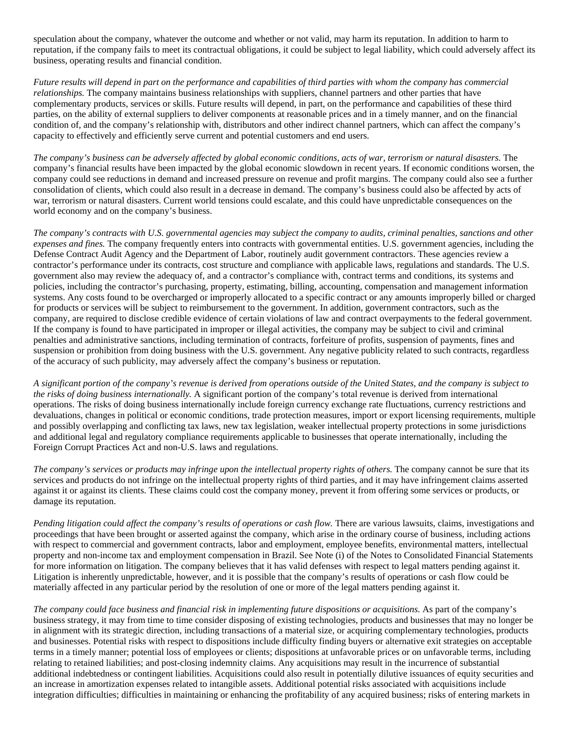speculation about the company, whatever the outcome and whether or not valid, may harm its reputation. In addition to harm to reputation, if the company fails to meet its contractual obligations, it could be subject to legal liability, which could adversely affect its business, operating results and financial condition.

*Future results will depend in part on the performance and capabilities of third parties with whom the company has commercial relationships.* The company maintains business relationships with suppliers, channel partners and other parties that have complementary products, services or skills. Future results will depend, in part, on the performance and capabilities of these third parties, on the ability of external suppliers to deliver components at reasonable prices and in a timely manner, and on the financial condition of, and the company's relationship with, distributors and other indirect channel partners, which can affect the company's capacity to effectively and efficiently serve current and potential customers and end users.

*The company's business can be adversely affected by global economic conditions, acts of war, terrorism or natural disasters.* The company's financial results have been impacted by the global economic slowdown in recent years. If economic conditions worsen, the company could see reductions in demand and increased pressure on revenue and profit margins. The company could also see a further consolidation of clients, which could also result in a decrease in demand. The company's business could also be affected by acts of war, terrorism or natural disasters. Current world tensions could escalate, and this could have unpredictable consequences on the world economy and on the company's business.

*The company's contracts with U.S. governmental agencies may subject the company to audits, criminal penalties, sanctions and other expenses and fines.* The company frequently enters into contracts with governmental entities. U.S. government agencies, including the Defense Contract Audit Agency and the Department of Labor, routinely audit government contractors. These agencies review a contractor's performance under its contracts, cost structure and compliance with applicable laws, regulations and standards. The U.S. government also may review the adequacy of, and a contractor's compliance with, contract terms and conditions, its systems and policies, including the contractor's purchasing, property, estimating, billing, accounting, compensation and management information systems. Any costs found to be overcharged or improperly allocated to a specific contract or any amounts improperly billed or charged for products or services will be subject to reimbursement to the government. In addition, government contractors, such as the company, are required to disclose credible evidence of certain violations of law and contract overpayments to the federal government. If the company is found to have participated in improper or illegal activities, the company may be subject to civil and criminal penalties and administrative sanctions, including termination of contracts, forfeiture of profits, suspension of payments, fines and suspension or prohibition from doing business with the U.S. government. Any negative publicity related to such contracts, regardless of the accuracy of such publicity, may adversely affect the company's business or reputation.

*A significant portion of the company's revenue is derived from operations outside of the United States, and the company is subject to the risks of doing business internationally.* A significant portion of the company's total revenue is derived from international operations. The risks of doing business internationally include foreign currency exchange rate fluctuations, currency restrictions and devaluations, changes in political or economic conditions, trade protection measures, import or export licensing requirements, multiple and possibly overlapping and conflicting tax laws, new tax legislation, weaker intellectual property protections in some jurisdictions and additional legal and regulatory compliance requirements applicable to businesses that operate internationally, including the Foreign Corrupt Practices Act and non-U.S. laws and regulations.

*The company's services or products may infringe upon the intellectual property rights of others.* The company cannot be sure that its services and products do not infringe on the intellectual property rights of third parties, and it may have infringement claims asserted against it or against its clients. These claims could cost the company money, prevent it from offering some services or products, or damage its reputation.

*Pending litigation could affect the company's results of operations or cash flow.* There are various lawsuits, claims, investigations and proceedings that have been brought or asserted against the company, which arise in the ordinary course of business, including actions with respect to commercial and government contracts, labor and employment, employee benefits, environmental matters, intellectual property and non-income tax and employment compensation in Brazil. See Note (i) of the Notes to Consolidated Financial Statements for more information on litigation. The company believes that it has valid defenses with respect to legal matters pending against it. Litigation is inherently unpredictable, however, and it is possible that the company's results of operations or cash flow could be materially affected in any particular period by the resolution of one or more of the legal matters pending against it.

*The company could face business and financial risk in implementing future dispositions or acquisitions.* As part of the company's business strategy, it may from time to time consider disposing of existing technologies, products and businesses that may no longer be in alignment with its strategic direction, including transactions of a material size, or acquiring complementary technologies, products and businesses. Potential risks with respect to dispositions include difficulty finding buyers or alternative exit strategies on acceptable terms in a timely manner; potential loss of employees or clients; dispositions at unfavorable prices or on unfavorable terms, including relating to retained liabilities; and post-closing indemnity claims. Any acquisitions may result in the incurrence of substantial additional indebtedness or contingent liabilities. Acquisitions could also result in potentially dilutive issuances of equity securities and an increase in amortization expenses related to intangible assets. Additional potential risks associated with acquisitions include integration difficulties; difficulties in maintaining or enhancing the profitability of any acquired business; risks of entering markets in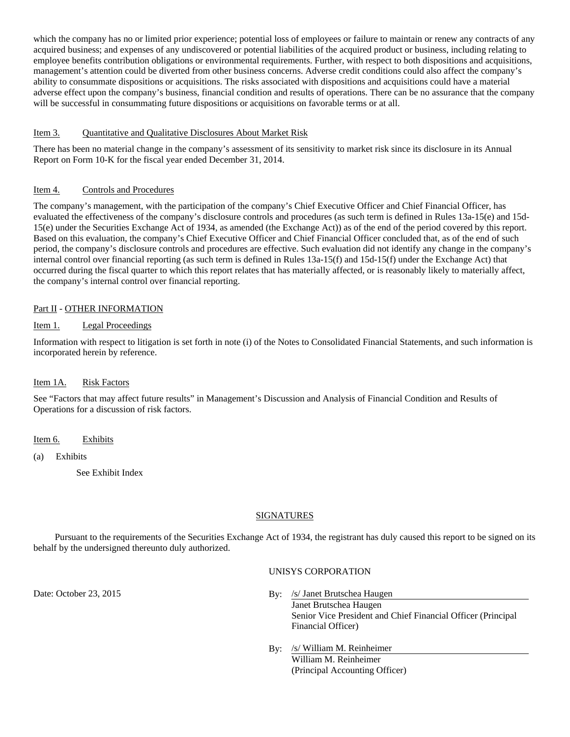which the company has no or limited prior experience; potential loss of employees or failure to maintain or renew any contracts of any acquired business; and expenses of any undiscovered or potential liabilities of the acquired product or business, including relating to employee benefits contribution obligations or environmental requirements. Further, with respect to both dispositions and acquisitions, management's attention could be diverted from other business concerns. Adverse credit conditions could also affect the company's ability to consummate dispositions or acquisitions. The risks associated with dispositions and acquisitions could have a material adverse effect upon the company's business, financial condition and results of operations. There can be no assurance that the company will be successful in consummating future dispositions or acquisitions on favorable terms or at all.

#### Item 3. Quantitative and Qualitative Disclosures About Market Risk

There has been no material change in the company's assessment of its sensitivity to market risk since its disclosure in its Annual Report on Form 10-K for the fiscal year ended December 31, 2014.

#### Item 4. Controls and Procedures

The company's management, with the participation of the company's Chief Executive Officer and Chief Financial Officer, has evaluated the effectiveness of the company's disclosure controls and procedures (as such term is defined in Rules 13a-15(e) and 15d-15(e) under the Securities Exchange Act of 1934, as amended (the Exchange Act)) as of the end of the period covered by this report. Based on this evaluation, the company's Chief Executive Officer and Chief Financial Officer concluded that, as of the end of such period, the company's disclosure controls and procedures are effective. Such evaluation did not identify any change in the company's internal control over financial reporting (as such term is defined in Rules 13a-15(f) and 15d-15(f) under the Exchange Act) that occurred during the fiscal quarter to which this report relates that has materially affected, or is reasonably likely to materially affect, the company's internal control over financial reporting.

#### Part II - OTHER INFORMATION

#### Item 1. Legal Proceedings

Information with respect to litigation is set forth in note (i) of the Notes to Consolidated Financial Statements, and such information is incorporated herein by reference.

#### Item 1A. Risk Factors

See "Factors that may affect future results" in Management's Discussion and Analysis of Financial Condition and Results of Operations for a discussion of risk factors.

#### Item 6. Exhibits

#### (a) Exhibits

See Exhibit Index

#### SIGNATURES

Pursuant to the requirements of the Securities Exchange Act of 1934, the registrant has duly caused this report to be signed on its behalf by the undersigned thereunto duly authorized.

#### UNISYS CORPORATION

Date: October 23, 2015 By: /s/ Janet Brutschea Haugen Janet Brutschea Haugen Senior Vice President and Chief Financial Officer (Principal Financial Officer)

> By: /s/ William M. Reinheimer William M. Reinheimer (Principal Accounting Officer)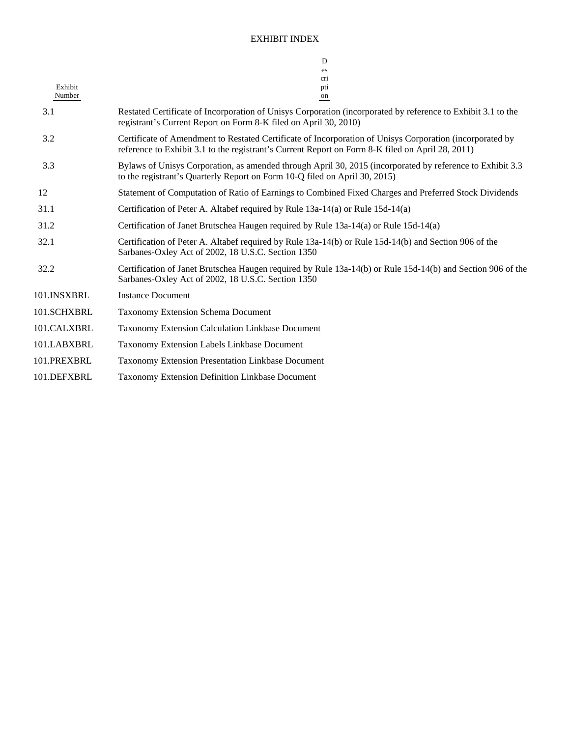## EXHIBIT INDEX

|             | D<br>es                                                                                                                                                                                                      |
|-------------|--------------------------------------------------------------------------------------------------------------------------------------------------------------------------------------------------------------|
| Exhibit     | cri<br>pti                                                                                                                                                                                                   |
| Number      | on                                                                                                                                                                                                           |
| 3.1         | Restated Certificate of Incorporation of Unisys Corporation (incorporated by reference to Exhibit 3.1 to the<br>registrant's Current Report on Form 8-K filed on April 30, 2010)                             |
| 3.2         | Certificate of Amendment to Restated Certificate of Incorporation of Unisys Corporation (incorporated by<br>reference to Exhibit 3.1 to the registrant's Current Report on Form 8-K filed on April 28, 2011) |
| 3.3         | Bylaws of Unisys Corporation, as amended through April 30, 2015 (incorporated by reference to Exhibit 3.3<br>to the registrant's Quarterly Report on Form 10-Q filed on April 30, 2015)                      |
| 12          | Statement of Computation of Ratio of Earnings to Combined Fixed Charges and Preferred Stock Dividends                                                                                                        |
| 31.1        | Certification of Peter A. Altabef required by Rule 13a-14(a) or Rule 15d-14(a)                                                                                                                               |
| 31.2        | Certification of Janet Brutschea Haugen required by Rule 13a-14(a) or Rule 15d-14(a)                                                                                                                         |
| 32.1        | Certification of Peter A. Altabef required by Rule 13a-14(b) or Rule 15d-14(b) and Section 906 of the<br>Sarbanes-Oxley Act of 2002, 18 U.S.C. Section 1350                                                  |
| 32.2        | Certification of Janet Brutschea Haugen required by Rule 13a-14(b) or Rule 15d-14(b) and Section 906 of the<br>Sarbanes-Oxley Act of 2002, 18 U.S.C. Section 1350                                            |
| 101.INSXBRL | <b>Instance Document</b>                                                                                                                                                                                     |
| 101.SCHXBRL | <b>Taxonomy Extension Schema Document</b>                                                                                                                                                                    |
| 101.CALXBRL | Taxonomy Extension Calculation Linkbase Document                                                                                                                                                             |
| 101.LABXBRL | Taxonomy Extension Labels Linkbase Document                                                                                                                                                                  |
| 101.PREXBRL | Taxonomy Extension Presentation Linkbase Document                                                                                                                                                            |
| 101.DEFXBRL | Taxonomy Extension Definition Linkbase Document                                                                                                                                                              |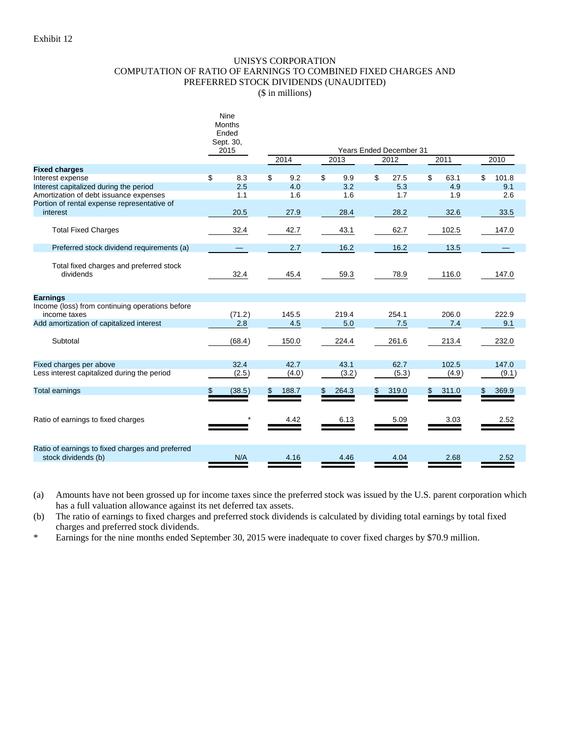### UNISYS CORPORATION COMPUTATION OF RATIO OF EARNINGS TO COMBINED FIXED CHARGES AND PREFERRED STOCK DIVIDENDS (UNAUDITED)

(\$ in millions)

|                                                                         | Nine<br><b>Months</b><br>Ended<br>Sept. 30,<br>2015 |        | Years Ended December 31 |       |    |       |    |       |    |       |    |       |  |
|-------------------------------------------------------------------------|-----------------------------------------------------|--------|-------------------------|-------|----|-------|----|-------|----|-------|----|-------|--|
|                                                                         |                                                     |        | 2014                    |       |    | 2013  |    | 2012  |    | 2011  |    | 2010  |  |
| <b>Fixed charges</b>                                                    |                                                     |        |                         |       |    |       |    |       |    |       |    |       |  |
| Interest expense                                                        |                                                     | 8.3    | \$                      | 9.2   | \$ | 9.9   | \$ | 27.5  | \$ | 63.1  | \$ | 101.8 |  |
| Interest capitalized during the period                                  |                                                     | 2.5    |                         | 4.0   |    | 3.2   |    | 5.3   |    | 4.9   |    | 9.1   |  |
| Amortization of debt issuance expenses                                  |                                                     | 1.1    |                         | 1.6   |    | 1.6   |    | 1.7   |    | 1.9   |    | 2.6   |  |
| Portion of rental expense representative of                             |                                                     |        |                         |       |    |       |    |       |    |       |    |       |  |
| interest                                                                |                                                     | 20.5   |                         | 27.9  |    | 28.4  |    | 28.2  |    | 32.6  |    | 33.5  |  |
|                                                                         |                                                     |        |                         |       |    |       |    |       |    |       |    |       |  |
| <b>Total Fixed Charges</b>                                              |                                                     | 32.4   |                         | 42.7  |    | 43.1  |    | 62.7  |    | 102.5 |    | 147.0 |  |
|                                                                         |                                                     |        |                         |       |    |       |    |       |    |       |    |       |  |
| Preferred stock dividend requirements (a)                               |                                                     |        |                         | 2.7   |    | 16.2  |    | 16.2  |    | 13.5  |    |       |  |
| Total fixed charges and preferred stock<br>dividends                    |                                                     | 32.4   |                         | 45.4  |    | 59.3  |    | 78.9  |    | 116.0 |    | 147.0 |  |
| <b>Earnings</b>                                                         |                                                     |        |                         |       |    |       |    |       |    |       |    |       |  |
| Income (loss) from continuing operations before<br>income taxes         |                                                     | (71.2) |                         | 145.5 |    | 219.4 |    | 254.1 |    | 206.0 |    | 222.9 |  |
| Add amortization of capitalized interest                                |                                                     | 2.8    |                         | 4.5   |    | 5.0   |    | 7.5   |    | 7.4   |    | 9.1   |  |
|                                                                         |                                                     |        |                         |       |    |       |    |       |    |       |    |       |  |
| Subtotal                                                                |                                                     | (68.4) |                         | 150.0 |    | 224.4 |    | 261.6 |    | 213.4 |    | 232.0 |  |
| Fixed charges per above                                                 |                                                     | 32.4   |                         | 42.7  |    | 43.1  |    | 62.7  |    | 102.5 |    | 147.0 |  |
| Less interest capitalized during the period                             |                                                     | (2.5)  |                         | (4.0) |    | (3.2) |    | (5.3) |    | (4.9) |    | (9.1) |  |
| <b>Total earnings</b>                                                   |                                                     | (38.5) | \$                      | 188.7 | S  | 264.3 | \$ | 319.0 | \$ | 311.0 | \$ | 369.9 |  |
| Ratio of earnings to fixed charges                                      |                                                     |        |                         | 4.42  |    | 6.13  |    | 5.09  |    | 3.03  |    | 2.52  |  |
| Ratio of earnings to fixed charges and preferred<br>stock dividends (b) |                                                     | N/A    |                         | 4.16  |    | 4.46  |    | 4.04  |    | 2.68  |    | 2.52  |  |

(a) Amounts have not been grossed up for income taxes since the preferred stock was issued by the U.S. parent corporation which has a full valuation allowance against its net deferred tax assets.

(b) The ratio of earnings to fixed charges and preferred stock dividends is calculated by dividing total earnings by total fixed charges and preferred stock dividends.

\* Earnings for the nine months ended September 30, 2015 were inadequate to cover fixed charges by \$70.9 million.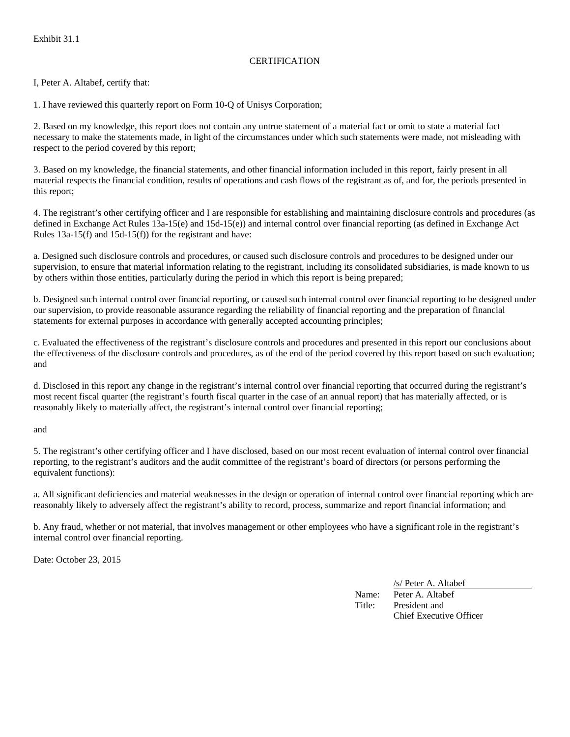#### **CERTIFICATION**

I, Peter A. Altabef, certify that:

1. I have reviewed this quarterly report on Form 10-Q of Unisys Corporation;

2. Based on my knowledge, this report does not contain any untrue statement of a material fact or omit to state a material fact necessary to make the statements made, in light of the circumstances under which such statements were made, not misleading with respect to the period covered by this report;

3. Based on my knowledge, the financial statements, and other financial information included in this report, fairly present in all material respects the financial condition, results of operations and cash flows of the registrant as of, and for, the periods presented in this report;

4. The registrant's other certifying officer and I are responsible for establishing and maintaining disclosure controls and procedures (as defined in Exchange Act Rules 13a-15(e) and 15d-15(e)) and internal control over financial reporting (as defined in Exchange Act Rules 13a-15(f) and 15d-15(f)) for the registrant and have:

a. Designed such disclosure controls and procedures, or caused such disclosure controls and procedures to be designed under our supervision, to ensure that material information relating to the registrant, including its consolidated subsidiaries, is made known to us by others within those entities, particularly during the period in which this report is being prepared;

b. Designed such internal control over financial reporting, or caused such internal control over financial reporting to be designed under our supervision, to provide reasonable assurance regarding the reliability of financial reporting and the preparation of financial statements for external purposes in accordance with generally accepted accounting principles;

c. Evaluated the effectiveness of the registrant's disclosure controls and procedures and presented in this report our conclusions about the effectiveness of the disclosure controls and procedures, as of the end of the period covered by this report based on such evaluation; and

d. Disclosed in this report any change in the registrant's internal control over financial reporting that occurred during the registrant's most recent fiscal quarter (the registrant's fourth fiscal quarter in the case of an annual report) that has materially affected, or is reasonably likely to materially affect, the registrant's internal control over financial reporting;

and

5. The registrant's other certifying officer and I have disclosed, based on our most recent evaluation of internal control over financial reporting, to the registrant's auditors and the audit committee of the registrant's board of directors (or persons performing the equivalent functions):

a. All significant deficiencies and material weaknesses in the design or operation of internal control over financial reporting which are reasonably likely to adversely affect the registrant's ability to record, process, summarize and report financial information; and

b. Any fraud, whether or not material, that involves management or other employees who have a significant role in the registrant's internal control over financial reporting.

Date: October 23, 2015

/s/ Peter A. Altabef

Name: Peter A. Altabef Title: President and Chief Executive Officer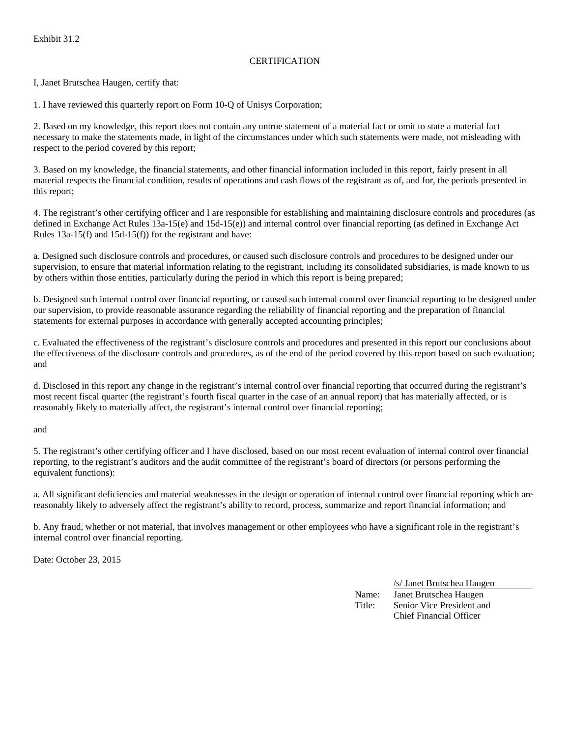#### **CERTIFICATION**

I, Janet Brutschea Haugen, certify that:

1. I have reviewed this quarterly report on Form 10-Q of Unisys Corporation;

2. Based on my knowledge, this report does not contain any untrue statement of a material fact or omit to state a material fact necessary to make the statements made, in light of the circumstances under which such statements were made, not misleading with respect to the period covered by this report;

3. Based on my knowledge, the financial statements, and other financial information included in this report, fairly present in all material respects the financial condition, results of operations and cash flows of the registrant as of, and for, the periods presented in this report;

4. The registrant's other certifying officer and I are responsible for establishing and maintaining disclosure controls and procedures (as defined in Exchange Act Rules 13a-15(e) and 15d-15(e)) and internal control over financial reporting (as defined in Exchange Act Rules 13a-15(f) and 15d-15(f)) for the registrant and have:

a. Designed such disclosure controls and procedures, or caused such disclosure controls and procedures to be designed under our supervision, to ensure that material information relating to the registrant, including its consolidated subsidiaries, is made known to us by others within those entities, particularly during the period in which this report is being prepared;

b. Designed such internal control over financial reporting, or caused such internal control over financial reporting to be designed under our supervision, to provide reasonable assurance regarding the reliability of financial reporting and the preparation of financial statements for external purposes in accordance with generally accepted accounting principles;

c. Evaluated the effectiveness of the registrant's disclosure controls and procedures and presented in this report our conclusions about the effectiveness of the disclosure controls and procedures, as of the end of the period covered by this report based on such evaluation; and

d. Disclosed in this report any change in the registrant's internal control over financial reporting that occurred during the registrant's most recent fiscal quarter (the registrant's fourth fiscal quarter in the case of an annual report) that has materially affected, or is reasonably likely to materially affect, the registrant's internal control over financial reporting;

and

5. The registrant's other certifying officer and I have disclosed, based on our most recent evaluation of internal control over financial reporting, to the registrant's auditors and the audit committee of the registrant's board of directors (or persons performing the equivalent functions):

a. All significant deficiencies and material weaknesses in the design or operation of internal control over financial reporting which are reasonably likely to adversely affect the registrant's ability to record, process, summarize and report financial information; and

b. Any fraud, whether or not material, that involves management or other employees who have a significant role in the registrant's internal control over financial reporting.

Date: October 23, 2015

/s/ Janet Brutschea Haugen Name: Janet Brutschea Haugen Title: Senior Vice President and Chief Financial Officer